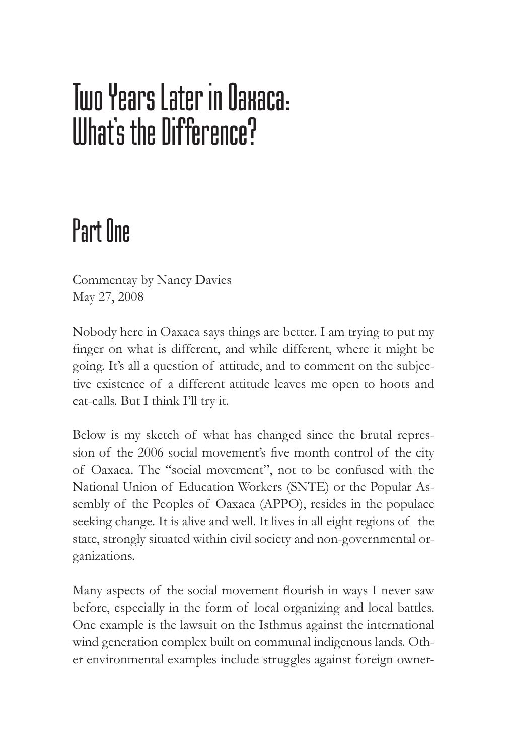# Tuo Years Later in Naxaca: What's the Difference?

# Part One

Commentay by Nancy Davies May 27, 2008

Nobody here in Oaxaca says things are better. I am trying to put my finger on what is different, and while different, where it might be going. It's all a question of attitude, and to comment on the subjective existence of a different attitude leaves me open to hoots and cat-calls. But I think I'll try it.

Below is my sketch of what has changed since the brutal repression of the 2006 social movement's five month control of the city of Oaxaca. The "social movement", not to be confused with the National Union of Education Workers (SNTE) or the Popular Assembly of the Peoples of Oaxaca (APPO), resides in the populace seeking change. It is alive and well. It lives in all eight regions of the state, strongly situated within civil society and non-governmental organizations.

Many aspects of the social movement flourish in ways I never saw before, especially in the form of local organizing and local battles. One example is the lawsuit on the Isthmus against the international wind generation complex built on communal indigenous lands. Other environmental examples include struggles against foreign owner-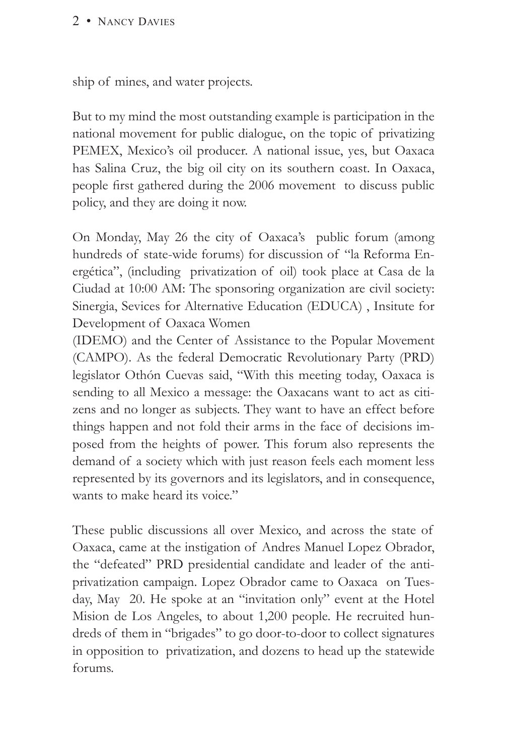#### 2 • NANCY DAVIES

ship of mines, and water projects.

But to my mind the most outstanding example is participation in the national movement for public dialogue, on the topic of privatizing PEMEX, Mexico's oil producer. A national issue, yes, but Oaxaca has Salina Cruz, the big oil city on its southern coast. In Oaxaca, people first gathered during the 2006 movement to discuss public policy, and they are doing it now.

On Monday, May 26 the city of Oaxaca's public forum (among hundreds of state-wide forums) for discussion of "la Reforma Energética", (including privatization of oil) took place at Casa de la Ciudad at 10:00 AM: The sponsoring organization are civil society: Sinergia, Sevices for Alternative Education (EDUCA) , Insitute for Development of Oaxaca Women

(IDEMO) and the Center of Assistance to the Popular Movement (CAMPO). As the federal Democratic Revolutionary Party (PRD) legislator Othón Cuevas said, "With this meeting today, Oaxaca is sending to all Mexico a message: the Oaxacans want to act as citizens and no longer as subjects. They want to have an effect before things happen and not fold their arms in the face of decisions imposed from the heights of power. This forum also represents the demand of a society which with just reason feels each moment less represented by its governors and its legislators, and in consequence, wants to make heard its voice."

These public discussions all over Mexico, and across the state of Oaxaca, came at the instigation of Andres Manuel Lopez Obrador, the "defeated" PRD presidential candidate and leader of the antiprivatization campaign. Lopez Obrador came to Oaxaca on Tuesday, May 20. He spoke at an "invitation only" event at the Hotel Mision de Los Angeles, to about 1,200 people. He recruited hundreds of them in "brigades" to go door-to-door to collect signatures in opposition to privatization, and dozens to head up the statewide forums.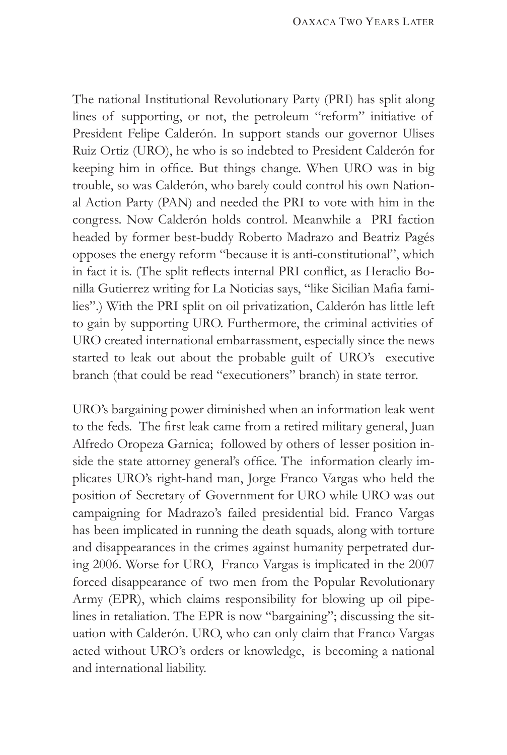The national Institutional Revolutionary Party (PRI) has split along lines of supporting, or not, the petroleum "reform" initiative of President Felipe Calderón. In support stands our governor Ulises Ruiz Ortiz (URO), he who is so indebted to President Calderón for keeping him in office. But things change. When URO was in big trouble, so was Calderón, who barely could control his own National Action Party (PAN) and needed the PRI to vote with him in the congress. Now Calderón holds control. Meanwhile a PRI faction headed by former best-buddy Roberto Madrazo and Beatriz Pagés opposes the energy reform "because it is anti-constitutional", which in fact it is. (The split reflects internal PRI conflict, as Heraclio Bonilla Gutierrez writing for La Noticias says, "like Sicilian Mafia families".) With the PRI split on oil privatization, Calderón has little left to gain by supporting URO. Furthermore, the criminal activities of URO created international embarrassment, especially since the news started to leak out about the probable guilt of URO's executive branch (that could be read "executioners" branch) in state terror.

URO's bargaining power diminished when an information leak went to the feds. The first leak came from a retired military general, Juan Alfredo Oropeza Garnica; followed by others of lesser position inside the state attorney general's office. The information clearly implicates URO's right-hand man, Jorge Franco Vargas who held the position of Secretary of Government for URO while URO was out campaigning for Madrazo's failed presidential bid. Franco Vargas has been implicated in running the death squads, along with torture and disappearances in the crimes against humanity perpetrated during 2006. Worse for URO, Franco Vargas is implicated in the 2007 forced disappearance of two men from the Popular Revolutionary Army (EPR), which claims responsibility for blowing up oil pipelines in retaliation. The EPR is now "bargaining"; discussing the situation with Calderón. URO, who can only claim that Franco Vargas acted without URO's orders or knowledge, is becoming a national and international liability.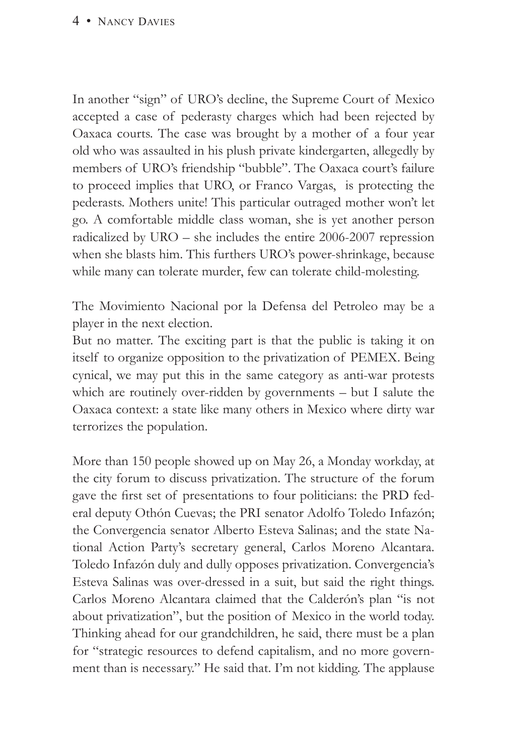#### 4 • NANCY DAVIES

In another "sign" of URO's decline, the Supreme Court of Mexico accepted a case of pederasty charges which had been rejected by Oaxaca courts. The case was brought by a mother of a four year old who was assaulted in his plush private kindergarten, allegedly by members of URO's friendship "bubble". The Oaxaca court's failure to proceed implies that URO, or Franco Vargas, is protecting the pederasts. Mothers unite! This particular outraged mother won't let go. A comfortable middle class woman, she is yet another person radicalized by URO – she includes the entire 2006-2007 repression when she blasts him. This furthers URO's power-shrinkage, because while many can tolerate murder, few can tolerate child-molesting.

The Movimiento Nacional por la Defensa del Petroleo may be a player in the next election.

But no matter. The exciting part is that the public is taking it on itself to organize opposition to the privatization of PEMEX. Being cynical, we may put this in the same category as anti-war protests which are routinely over-ridden by governments – but I salute the Oaxaca context: a state like many others in Mexico where dirty war terrorizes the population.

More than 150 people showed up on May 26, a Monday workday, at the city forum to discuss privatization. The structure of the forum gave the first set of presentations to four politicians: the PRD federal deputy Othón Cuevas; the PRI senator Adolfo Toledo Infazón; the Convergencia senator Alberto Esteva Salinas; and the state National Action Party's secretary general, Carlos Moreno Alcantara. Toledo Infazón duly and dully opposes privatization. Convergencia's Esteva Salinas was over-dressed in a suit, but said the right things. Carlos Moreno Alcantara claimed that the Calderón's plan "is not about privatization", but the position of Mexico in the world today. Thinking ahead for our grandchildren, he said, there must be a plan for "strategic resources to defend capitalism, and no more government than is necessary." He said that. I'm not kidding. The applause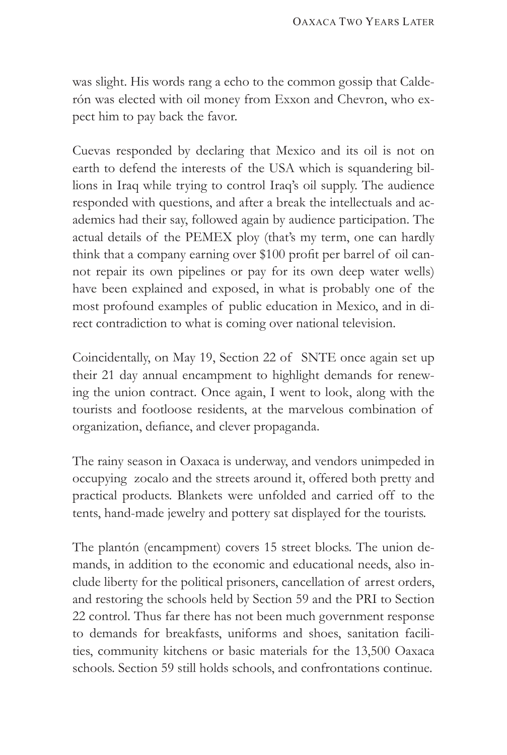was slight. His words rang a echo to the common gossip that Calderón was elected with oil money from Exxon and Chevron, who expect him to pay back the favor.

Cuevas responded by declaring that Mexico and its oil is not on earth to defend the interests of the USA which is squandering billions in Iraq while trying to control Iraq's oil supply. The audience responded with questions, and after a break the intellectuals and academics had their say, followed again by audience participation. The actual details of the PEMEX ploy (that's my term, one can hardly think that a company earning over \$100 profit per barrel of oil cannot repair its own pipelines or pay for its own deep water wells) have been explained and exposed, in what is probably one of the most profound examples of public education in Mexico, and in direct contradiction to what is coming over national television.

Coincidentally, on May 19, Section 22 of SNTE once again set up their 21 day annual encampment to highlight demands for renewing the union contract. Once again, I went to look, along with the tourists and footloose residents, at the marvelous combination of organization, defiance, and clever propaganda.

The rainy season in Oaxaca is underway, and vendors unimpeded in occupying zocalo and the streets around it, offered both pretty and practical products. Blankets were unfolded and carried off to the tents, hand-made jewelry and pottery sat displayed for the tourists.

The plantón (encampment) covers 15 street blocks. The union demands, in addition to the economic and educational needs, also include liberty for the political prisoners, cancellation of arrest orders, and restoring the schools held by Section 59 and the PRI to Section 22 control. Thus far there has not been much government response to demands for breakfasts, uniforms and shoes, sanitation facilities, community kitchens or basic materials for the 13,500 Oaxaca schools. Section 59 still holds schools, and confrontations continue.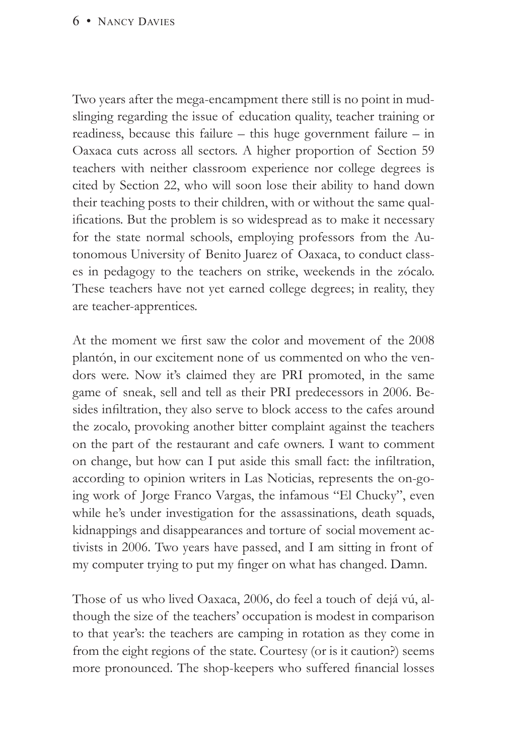#### 6 • NANCY DAVIES

Two years after the mega-encampment there still is no point in mudslinging regarding the issue of education quality, teacher training or readiness, because this failure – this huge government failure – in Oaxaca cuts across all sectors. A higher proportion of Section 59 teachers with neither classroom experience nor college degrees is cited by Section 22, who will soon lose their ability to hand down their teaching posts to their children, with or without the same qualifications. But the problem is so widespread as to make it necessary for the state normal schools, employing professors from the Autonomous University of Benito Juarez of Oaxaca, to conduct classes in pedagogy to the teachers on strike, weekends in the zócalo. These teachers have not yet earned college degrees; in reality, they are teacher-apprentices.

At the moment we first saw the color and movement of the 2008 plantón, in our excitement none of us commented on who the vendors were. Now it's claimed they are PRI promoted, in the same game of sneak, sell and tell as their PRI predecessors in 2006. Besides infiltration, they also serve to block access to the cafes around the zocalo, provoking another bitter complaint against the teachers on the part of the restaurant and cafe owners. I want to comment on change, but how can I put aside this small fact: the infiltration, according to opinion writers in Las Noticias, represents the on-going work of Jorge Franco Vargas, the infamous "El Chucky", even while he's under investigation for the assassinations, death squads, kidnappings and disappearances and torture of social movement activists in 2006. Two years have passed, and I am sitting in front of my computer trying to put my finger on what has changed. Damn.

Those of us who lived Oaxaca, 2006, do feel a touch of dejá vú, although the size of the teachers' occupation is modest in comparison to that year's: the teachers are camping in rotation as they come in from the eight regions of the state. Courtesy (or is it caution?) seems more pronounced. The shop-keepers who suffered financial losses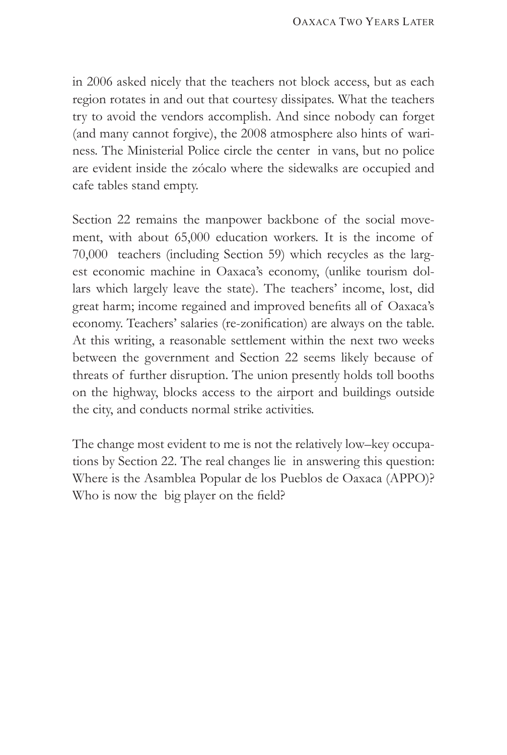in 2006 asked nicely that the teachers not block access, but as each region rotates in and out that courtesy dissipates. What the teachers try to avoid the vendors accomplish. And since nobody can forget (and many cannot forgive), the 2008 atmosphere also hints of wariness. The Ministerial Police circle the center in vans, but no police are evident inside the zócalo where the sidewalks are occupied and cafe tables stand empty.

Section 22 remains the manpower backbone of the social movement, with about 65,000 education workers. It is the income of 70,000 teachers (including Section 59) which recycles as the largest economic machine in Oaxaca's economy, (unlike tourism dollars which largely leave the state). The teachers' income, lost, did great harm; income regained and improved benefits all of Oaxaca's economy. Teachers' salaries (re-zonification) are always on the table. At this writing, a reasonable settlement within the next two weeks between the government and Section 22 seems likely because of threats of further disruption. The union presently holds toll booths on the highway, blocks access to the airport and buildings outside the city, and conducts normal strike activities.

The change most evident to me is not the relatively low–key occupations by Section 22. The real changes lie in answering this question: Where is the Asamblea Popular de los Pueblos de Oaxaca (APPO)? Who is now the big player on the field?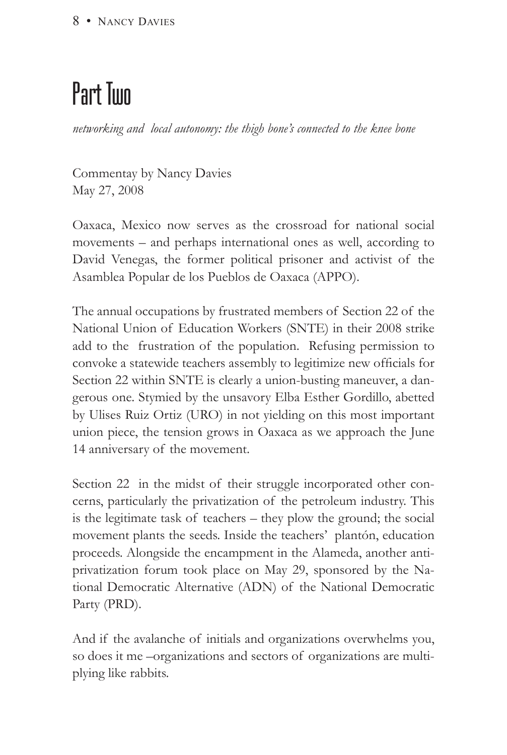# Part Two

*networking and local autonomy: the thigh bone's connected to the knee bone*

Commentay by Nancy Davies May 27, 2008

Oaxaca, Mexico now serves as the crossroad for national social movements – and perhaps international ones as well, according to David Venegas, the former political prisoner and activist of the Asamblea Popular de los Pueblos de Oaxaca (APPO).

The annual occupations by frustrated members of Section 22 of the National Union of Education Workers (SNTE) in their 2008 strike add to the frustration of the population. Refusing permission to convoke a statewide teachers assembly to legitimize new officials for Section 22 within SNTE is clearly a union-busting maneuver, a dangerous one. Stymied by the unsavory Elba Esther Gordillo, abetted by Ulises Ruiz Ortiz (URO) in not yielding on this most important union piece, the tension grows in Oaxaca as we approach the June 14 anniversary of the movement.

Section 22 in the midst of their struggle incorporated other concerns, particularly the privatization of the petroleum industry. This is the legitimate task of teachers – they plow the ground; the social movement plants the seeds. Inside the teachers' plantón, education proceeds. Alongside the encampment in the Alameda, another antiprivatization forum took place on May 29, sponsored by the National Democratic Alternative (ADN) of the National Democratic Party (PRD).

And if the avalanche of initials and organizations overwhelms you, so does it me –organizations and sectors of organizations are multiplying like rabbits.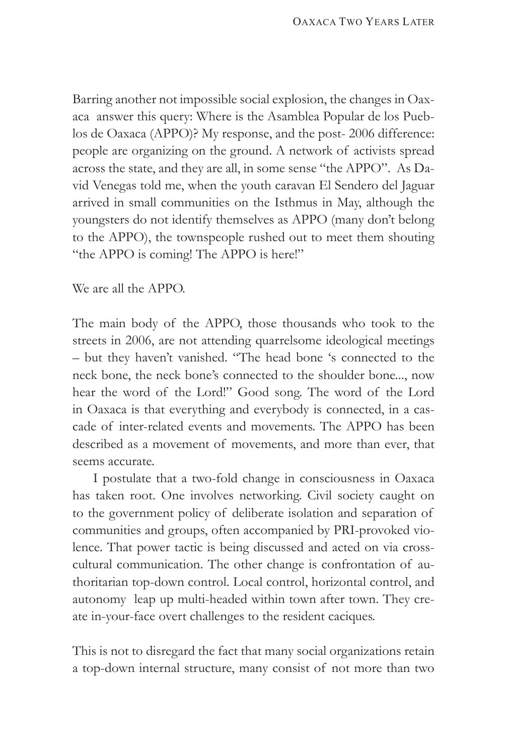Barring another not impossible social explosion, the changes in Oaxaca answer this query: Where is the Asamblea Popular de los Pueblos de Oaxaca (APPO)? My response, and the post- 2006 difference: people are organizing on the ground. A network of activists spread across the state, and they are all, in some sense "the APPO". As David Venegas told me, when the youth caravan El Sendero del Jaguar arrived in small communities on the Isthmus in May, although the youngsters do not identify themselves as APPO (many don't belong to the APPO), the townspeople rushed out to meet them shouting "the APPO is coming! The APPO is here!"

We are all the APPO.

The main body of the APPO, those thousands who took to the streets in 2006, are not attending quarrelsome ideological meetings – but they haven't vanished. "The head bone 's connected to the neck bone, the neck bone's connected to the shoulder bone..., now hear the word of the Lord!" Good song. The word of the Lord in Oaxaca is that everything and everybody is connected, in a cascade of inter-related events and movements. The APPO has been described as a movement of movements, and more than ever, that seems accurate.

I postulate that a two-fold change in consciousness in Oaxaca has taken root. One involves networking. Civil society caught on to the government policy of deliberate isolation and separation of communities and groups, often accompanied by PRI-provoked violence. That power tactic is being discussed and acted on via crosscultural communication. The other change is confrontation of authoritarian top-down control. Local control, horizontal control, and autonomy leap up multi-headed within town after town. They create in-your-face overt challenges to the resident caciques.

This is not to disregard the fact that many social organizations retain a top-down internal structure, many consist of not more than two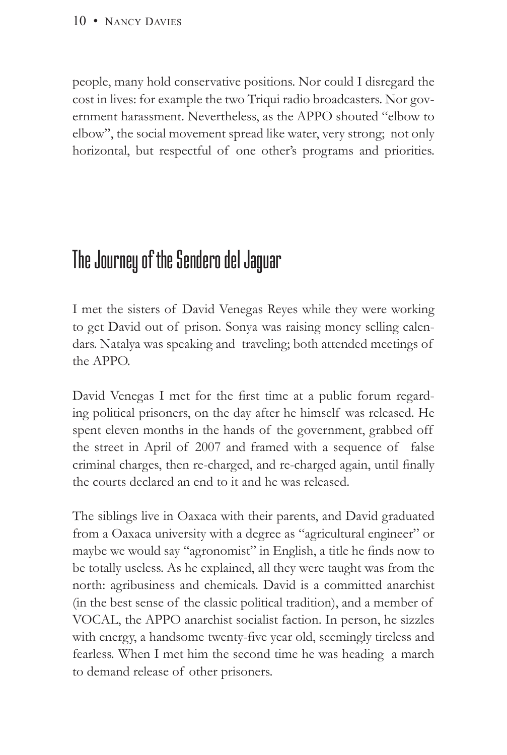people, many hold conservative positions. Nor could I disregard the cost in lives: for example the two Triqui radio broadcasters. Nor government harassment. Nevertheless, as the APPO shouted "elbow to elbow", the social movement spread like water, very strong; not only horizontal, but respectful of one other's programs and priorities.

## The Journey of the Sendero del Jaguar

I met the sisters of David Venegas Reyes while they were working to get David out of prison. Sonya was raising money selling calendars. Natalya was speaking and traveling; both attended meetings of the APPO.

David Venegas I met for the first time at a public forum regarding political prisoners, on the day after he himself was released. He spent eleven months in the hands of the government, grabbed off the street in April of 2007 and framed with a sequence of false criminal charges, then re-charged, and re-charged again, until finally the courts declared an end to it and he was released.

The siblings live in Oaxaca with their parents, and David graduated from a Oaxaca university with a degree as "agricultural engineer" or maybe we would say "agronomist" in English, a title he finds now to be totally useless. As he explained, all they were taught was from the north: agribusiness and chemicals. David is a committed anarchist (in the best sense of the classic political tradition), and a member of VOCAL, the APPO anarchist socialist faction. In person, he sizzles with energy, a handsome twenty-five year old, seemingly tireless and fearless. When I met him the second time he was heading a march to demand release of other prisoners.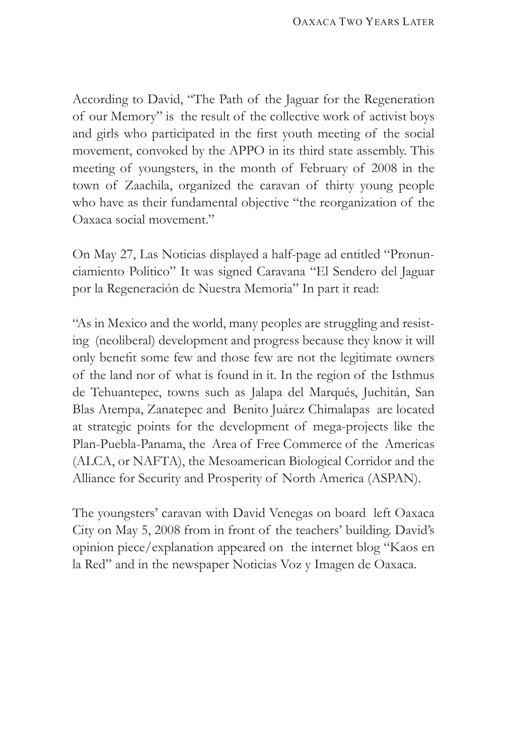According to David, "The Path of the Jaguar for the Regeneration of our Memory" is the result of the collective work of activist boys and girls who participated in the first youth meeting of the social movement, convoked by the APPO in its third state assembly. This meeting of youngsters, in the month of February of 2008 in the town of Zaachila, organized the caravan of thirty young people who have as their fundamental objective "the reorganization of the Oaxaca social movement."

On May 27, Las Noticias displayed a half-page ad entitled "Pronunciamiento Politico" It was signed Caravana "El Sendero del Jaguar por la Regeneración de Nuestra Memoria" In part it read:

"As in Mexico and the world, many peoples are struggling and resisting (neoliberal) development and progress because they know it will only benefit some few and those few are not the legitimate owners of the land nor of what is found in it. In the region of the Isthmus de Tehuantepec, towns such as Jalapa del Marqués, Juchitán, San Blas Atempa, Zanatepec and Benito Juárez Chimalapas are located at strategic points for the development of mega-projects like the Plan-Puebla-Panama, the Area of Free Commerce of the Americas (ALCA, or NAFTA), the Mesoamerican Biological Corridor and the Alliance for Security and Prosperity of North America (ASPAN).

The youngsters' caravan with David Venegas on board left Oaxaca City on May 5, 2008 from in front of the teachers' building. David's opinion piece/explanation appeared on the internet blog "Kaos en la Red" and in the newspaper Noticias Voz y Imagen de Oaxaca.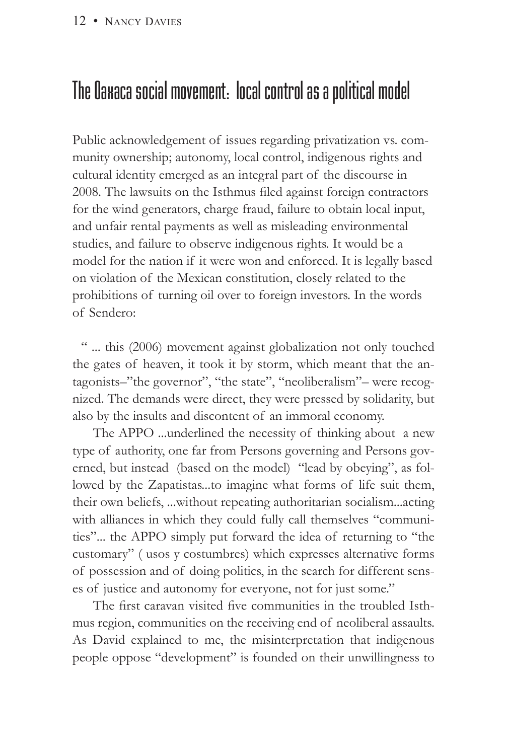#### 12 • NANCY DAVIES

## The Oaxaca social movement: local control as a political model

Public acknowledgement of issues regarding privatization vs. community ownership; autonomy, local control, indigenous rights and cultural identity emerged as an integral part of the discourse in 2008. The lawsuits on the Isthmus filed against foreign contractors for the wind generators, charge fraud, failure to obtain local input, and unfair rental payments as well as misleading environmental studies, and failure to observe indigenous rights. It would be a model for the nation if it were won and enforced. It is legally based on violation of the Mexican constitution, closely related to the prohibitions of turning oil over to foreign investors. In the words of Sendero:

 " ... this (2006) movement against globalization not only touched the gates of heaven, it took it by storm, which meant that the antagonists–"the governor", "the state", "neoliberalism"– were recognized. The demands were direct, they were pressed by solidarity, but also by the insults and discontent of an immoral economy.

The APPO ...underlined the necessity of thinking about a new type of authority, one far from Persons governing and Persons governed, but instead (based on the model) "lead by obeying", as followed by the Zapatistas...to imagine what forms of life suit them, their own beliefs, ...without repeating authoritarian socialism...acting with alliances in which they could fully call themselves "communities"... the APPO simply put forward the idea of returning to "the customary" ( usos y costumbres) which expresses alternative forms of possession and of doing politics, in the search for different senses of justice and autonomy for everyone, not for just some."

The first caravan visited five communities in the troubled Isthmus region, communities on the receiving end of neoliberal assaults. As David explained to me, the misinterpretation that indigenous people oppose "development" is founded on their unwillingness to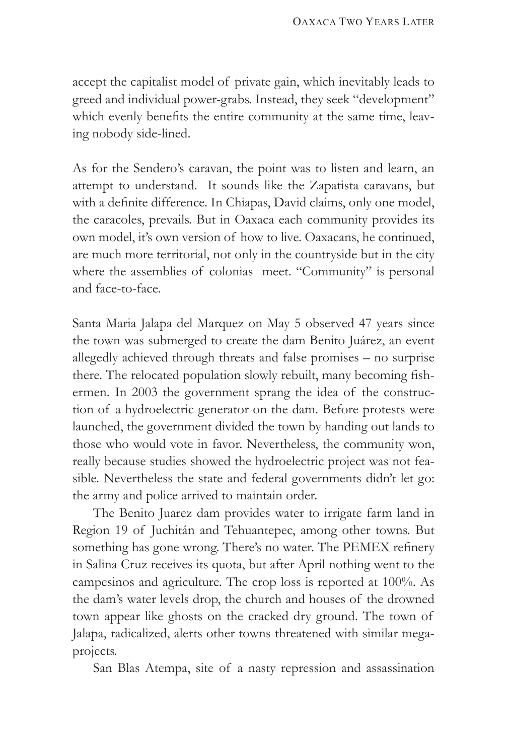accept the capitalist model of private gain, which inevitably leads to greed and individual power-grabs. Instead, they seek "development" which evenly benefits the entire community at the same time, leaving nobody side-lined.

As for the Sendero's caravan, the point was to listen and learn, an attempt to understand. It sounds like the Zapatista caravans, but with a definite difference. In Chiapas, David claims, only one model, the caracoles, prevails. But in Oaxaca each community provides its own model, it's own version of how to live. Oaxacans, he continued, are much more territorial, not only in the countryside but in the city where the assemblies of colonias meet. "Community" is personal and face-to-face.

Santa Maria Jalapa del Marquez on May 5 observed 47 years since the town was submerged to create the dam Benito Juárez, an event allegedly achieved through threats and false promises – no surprise there. The relocated population slowly rebuilt, many becoming fishermen. In 2003 the government sprang the idea of the construction of a hydroelectric generator on the dam. Before protests were launched, the government divided the town by handing out lands to those who would vote in favor. Nevertheless, the community won, really because studies showed the hydroelectric project was not feasible. Nevertheless the state and federal governments didn't let go: the army and police arrived to maintain order.

The Benito Juarez dam provides water to irrigate farm land in Region 19 of Juchitán and Tehuantepec, among other towns. But something has gone wrong. There's no water. The PEMEX refinery in Salina Cruz receives its quota, but after April nothing went to the campesinos and agriculture. The crop loss is reported at 100%. As the dam's water levels drop, the church and houses of the drowned town appear like ghosts on the cracked dry ground. The town of Jalapa, radicalized, alerts other towns threatened with similar megaprojects.

San Blas Atempa, site of a nasty repression and assassination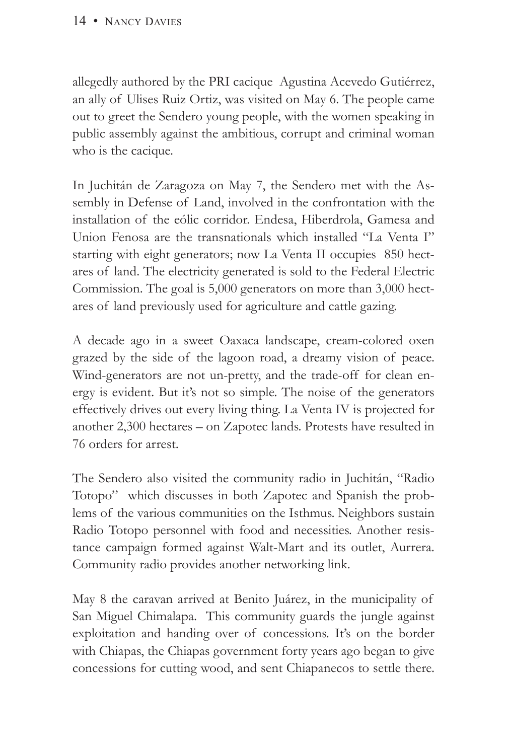allegedly authored by the PRI cacique Agustina Acevedo Gutiérrez, an ally of Ulises Ruiz Ortiz, was visited on May 6. The people came out to greet the Sendero young people, with the women speaking in public assembly against the ambitious, corrupt and criminal woman who is the cacique.

In Juchitán de Zaragoza on May 7, the Sendero met with the Assembly in Defense of Land, involved in the confrontation with the installation of the eólic corridor. Endesa, Hiberdrola, Gamesa and Union Fenosa are the transnationals which installed "La Venta I" starting with eight generators; now La Venta II occupies 850 hectares of land. The electricity generated is sold to the Federal Electric Commission. The goal is 5,000 generators on more than 3,000 hectares of land previously used for agriculture and cattle gazing.

A decade ago in a sweet Oaxaca landscape, cream-colored oxen grazed by the side of the lagoon road, a dreamy vision of peace. Wind-generators are not un-pretty, and the trade-off for clean energy is evident. But it's not so simple. The noise of the generators effectively drives out every living thing. La Venta IV is projected for another 2,300 hectares – on Zapotec lands. Protests have resulted in 76 orders for arrest.

The Sendero also visited the community radio in Juchitán, "Radio Totopo" which discusses in both Zapotec and Spanish the problems of the various communities on the Isthmus. Neighbors sustain Radio Totopo personnel with food and necessities. Another resistance campaign formed against Walt-Mart and its outlet, Aurrera. Community radio provides another networking link.

May 8 the caravan arrived at Benito Juárez, in the municipality of San Miguel Chimalapa. This community guards the jungle against exploitation and handing over of concessions. It's on the border with Chiapas, the Chiapas government forty years ago began to give concessions for cutting wood, and sent Chiapanecos to settle there.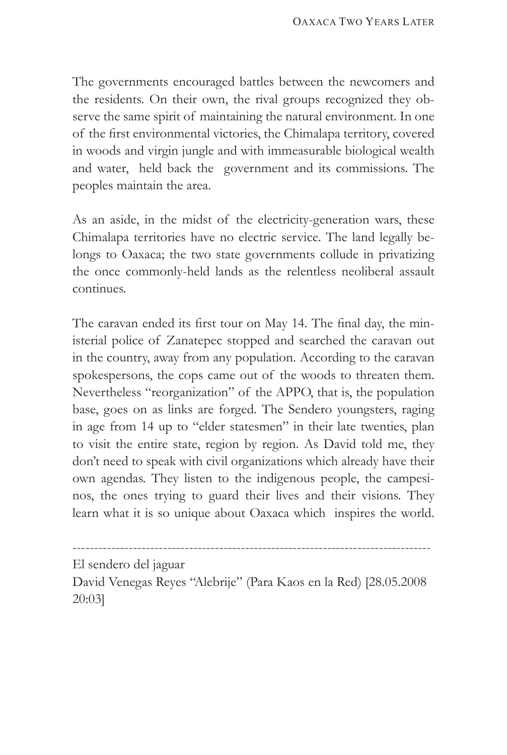The governments encouraged battles between the newcomers and the residents. On their own, the rival groups recognized they observe the same spirit of maintaining the natural environment. In one of the first environmental victories, the Chimalapa territory, covered in woods and virgin jungle and with immeasurable biological wealth and water, held back the government and its commissions. The peoples maintain the area.

As an aside, in the midst of the electricity-generation wars, these Chimalapa territories have no electric service. The land legally belongs to Oaxaca; the two state governments collude in privatizing the once commonly-held lands as the relentless neoliberal assault continues.

The caravan ended its first tour on May 14. The final day, the ministerial police of Zanatepec stopped and searched the caravan out in the country, away from any population. According to the caravan spokespersons, the cops came out of the woods to threaten them. Nevertheless "reorganization" of the APPO, that is, the population base, goes on as links are forged. The Sendero youngsters, raging in age from 14 up to "elder statesmen" in their late twenties, plan to visit the entire state, region by region. As David told me, they don't need to speak with civil organizations which already have their own agendas. They listen to the indigenous people, the campesinos, the ones trying to guard their lives and their visions. They learn what it is so unique about Oaxaca which inspires the world.

El sendero del jaguar

David Venegas Reyes "Alebrije" (Para Kaos en la Red) [28.05.2008 20:03]

-----------------------------------------------------------------------------------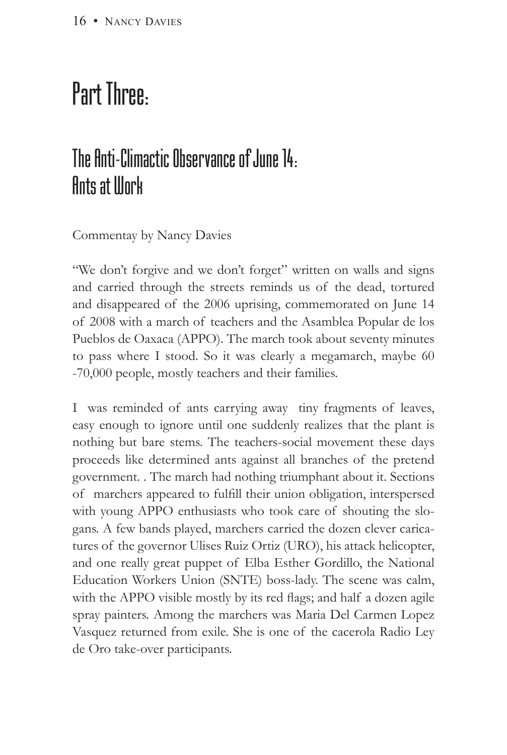# Part Three:

## The Anti-Climactic Observance of June 14: **Ants at Illork**

Commentay by Nancy Davies

"We don't forgive and we don't forget" written on walls and signs and carried through the streets reminds us of the dead, tortured and disappeared of the 2006 uprising, commemorated on June 14 of 2008 with a march of teachers and the Asamblea Popular de los Pueblos de Oaxaca (APPO). The march took about seventy minutes to pass where I stood. So it was clearly a megamarch, maybe 60 -70,000 people, mostly teachers and their families.

I was reminded of ants carrying away tiny fragments of leaves, easy enough to ignore until one suddenly realizes that the plant is nothing but bare stems. The teachers-social movement these days proceeds like determined ants against all branches of the pretend government. . The march had nothing triumphant about it. Sections of marchers appeared to fulfill their union obligation, interspersed with young APPO enthusiasts who took care of shouting the slogans. A few bands played, marchers carried the dozen clever caricatures of the governor Ulises Ruiz Ortiz (URO), his attack helicopter, and one really great puppet of Elba Esther Gordillo, the National Education Workers Union (SNTE) boss-lady. The scene was calm, with the APPO visible mostly by its red flags; and half a dozen agile spray painters. Among the marchers was Maria Del Carmen Lopez Vasquez returned from exile. She is one of the cacerola Radio Ley de Oro take-over participants.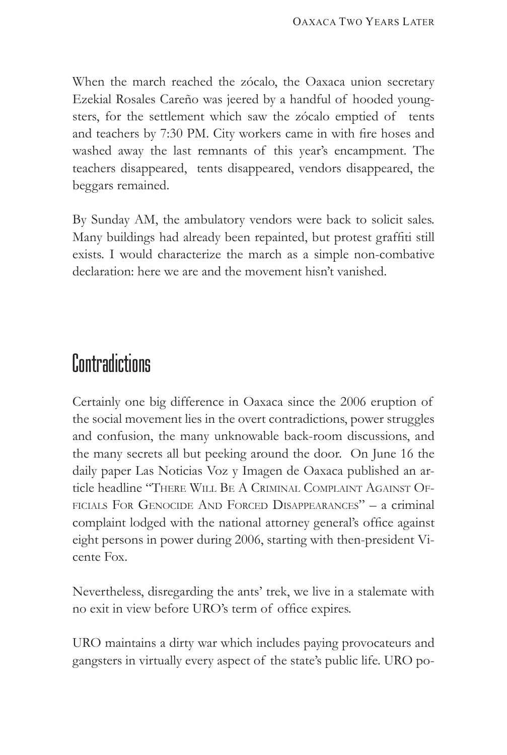When the march reached the zócalo, the Oaxaca union secretary Ezekial Rosales Careño was jeered by a handful of hooded youngsters, for the settlement which saw the zócalo emptied of tents and teachers by 7:30 PM. City workers came in with fire hoses and washed away the last remnants of this year's encampment. The teachers disappeared, tents disappeared, vendors disappeared, the beggars remained.

By Sunday AM, the ambulatory vendors were back to solicit sales. Many buildings had already been repainted, but protest graffiti still exists. I would characterize the march as a simple non-combative declaration: here we are and the movement hisn't vanished.

## **Contradictions**

Certainly one big difference in Oaxaca since the 2006 eruption of the social movement lies in the overt contradictions, power struggles and confusion, the many unknowable back-room discussions, and the many secrets all but peeking around the door. On June 16 the daily paper Las Noticias Voz y Imagen de Oaxaca published an article headline "There Will Be A Criminal Complaint Against Officials For Genocide And Forced Disappearances" – a criminal complaint lodged with the national attorney general's office against eight persons in power during 2006, starting with then-president Vicente Fox.

Nevertheless, disregarding the ants' trek, we live in a stalemate with no exit in view before URO's term of office expires.

URO maintains a dirty war which includes paying provocateurs and gangsters in virtually every aspect of the state's public life. URO po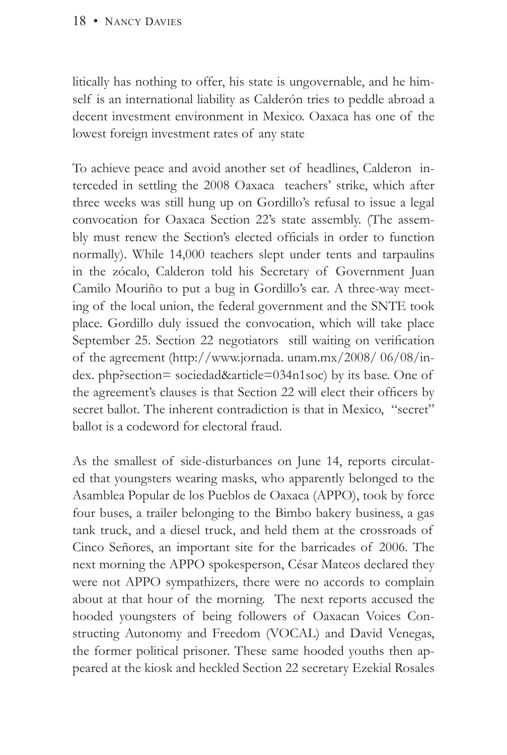litically has nothing to offer, his state is ungovernable, and he himself is an international liability as Calderón tries to peddle abroad a decent investment environment in Mexico. Oaxaca has one of the lowest foreign investment rates of any state

To achieve peace and avoid another set of headlines, Calderon interceded in settling the 2008 Oaxaca teachers' strike, which after three weeks was still hung up on Gordillo's refusal to issue a legal convocation for Oaxaca Section 22's state assembly. (The assembly must renew the Section's elected officials in order to function normally). While 14,000 teachers slept under tents and tarpaulins in the zócalo, Calderon told his Secretary of Government Juan Camilo Mouriño to put a bug in Gordillo's ear. A three-way meeting of the local union, the federal government and the SNTE took place. Gordillo duly issued the convocation, which will take place September 25. Section 22 negotiators still waiting on verification of the agreement (http://www.jornada. unam.mx/2008/ 06/08/index. php?section= sociedad&article=034n1soc) by its base. One of the agreement's clauses is that Section 22 will elect their officers by secret ballot. The inherent contradiction is that in Mexico, "secret" ballot is a codeword for electoral fraud.

As the smallest of side-disturbances on June 14, reports circulated that youngsters wearing masks, who apparently belonged to the Asamblea Popular de los Pueblos de Oaxaca (APPO), took by force four buses, a trailer belonging to the Bimbo bakery business, a gas tank truck, and a diesel truck, and held them at the crossroads of Cinco Señores, an important site for the barricades of 2006. The next morning the APPO spokesperson, César Mateos declared they were not APPO sympathizers, there were no accords to complain about at that hour of the morning. The next reports accused the hooded youngsters of being followers of Oaxacan Voices Constructing Autonomy and Freedom (VOCAL) and David Venegas, the former political prisoner. These same hooded youths then appeared at the kiosk and heckled Section 22 secretary Ezekial Rosales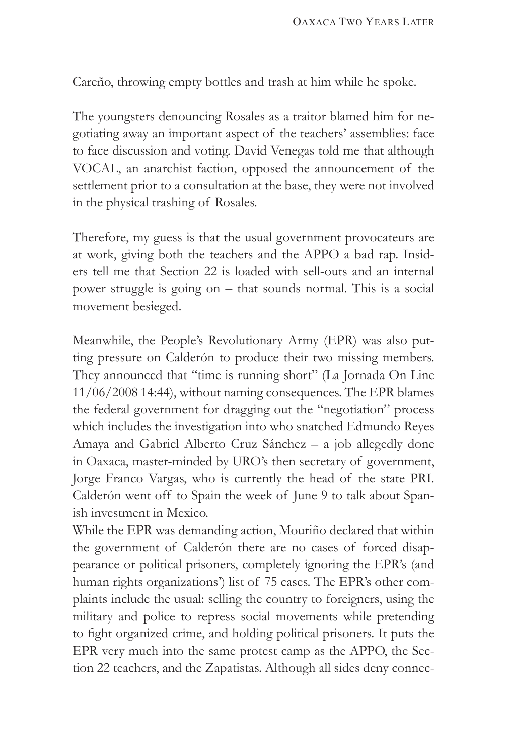Careño, throwing empty bottles and trash at him while he spoke.

The youngsters denouncing Rosales as a traitor blamed him for negotiating away an important aspect of the teachers' assemblies: face to face discussion and voting. David Venegas told me that although VOCAL, an anarchist faction, opposed the announcement of the settlement prior to a consultation at the base, they were not involved in the physical trashing of Rosales.

Therefore, my guess is that the usual government provocateurs are at work, giving both the teachers and the APPO a bad rap. Insiders tell me that Section 22 is loaded with sell-outs and an internal power struggle is going on – that sounds normal. This is a social movement besieged.

Meanwhile, the People's Revolutionary Army (EPR) was also putting pressure on Calderón to produce their two missing members. They announced that "time is running short" (La Jornada On Line 11/06/2008 14:44), without naming consequences. The EPR blames the federal government for dragging out the "negotiation" process which includes the investigation into who snatched Edmundo Reyes Amaya and Gabriel Alberto Cruz Sánchez – a job allegedly done in Oaxaca, master-minded by URO's then secretary of government, Jorge Franco Vargas, who is currently the head of the state PRI. Calderón went off to Spain the week of June 9 to talk about Spanish investment in Mexico.

While the EPR was demanding action, Mouriño declared that within the government of Calderón there are no cases of forced disappearance or political prisoners, completely ignoring the EPR's (and human rights organizations') list of 75 cases. The EPR's other complaints include the usual: selling the country to foreigners, using the military and police to repress social movements while pretending to fight organized crime, and holding political prisoners. It puts the EPR very much into the same protest camp as the APPO, the Section 22 teachers, and the Zapatistas. Although all sides deny connec-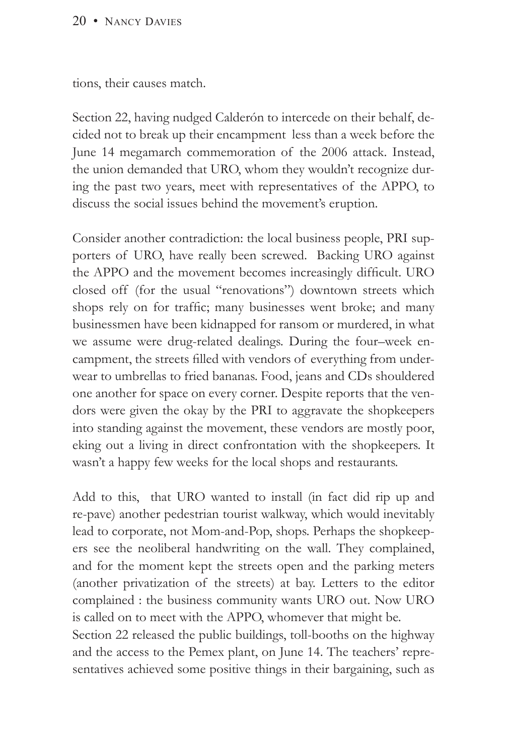#### 20 • NANCY DAVIES

tions, their causes match.

Section 22, having nudged Calderón to intercede on their behalf, decided not to break up their encampment less than a week before the June 14 megamarch commemoration of the 2006 attack. Instead, the union demanded that URO, whom they wouldn't recognize during the past two years, meet with representatives of the APPO, to discuss the social issues behind the movement's eruption.

Consider another contradiction: the local business people, PRI supporters of URO, have really been screwed. Backing URO against the APPO and the movement becomes increasingly difficult. URO closed off (for the usual "renovations") downtown streets which shops rely on for traffic; many businesses went broke; and many businessmen have been kidnapped for ransom or murdered, in what we assume were drug-related dealings. During the four–week encampment, the streets filled with vendors of everything from underwear to umbrellas to fried bananas. Food, jeans and CDs shouldered one another for space on every corner. Despite reports that the vendors were given the okay by the PRI to aggravate the shopkeepers into standing against the movement, these vendors are mostly poor, eking out a living in direct confrontation with the shopkeepers. It wasn't a happy few weeks for the local shops and restaurants.

Add to this, that URO wanted to install (in fact did rip up and re-pave) another pedestrian tourist walkway, which would inevitably lead to corporate, not Mom-and-Pop, shops. Perhaps the shopkeepers see the neoliberal handwriting on the wall. They complained, and for the moment kept the streets open and the parking meters (another privatization of the streets) at bay. Letters to the editor complained : the business community wants URO out. Now URO is called on to meet with the APPO, whomever that might be.

Section 22 released the public buildings, toll-booths on the highway and the access to the Pemex plant, on June 14. The teachers' representatives achieved some positive things in their bargaining, such as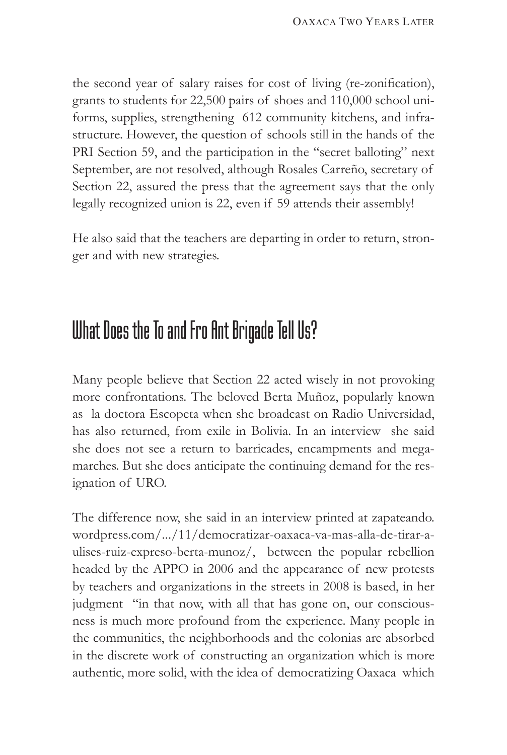the second year of salary raises for cost of living (re-zonification), grants to students for 22,500 pairs of shoes and 110,000 school uniforms, supplies, strengthening 612 community kitchens, and infrastructure. However, the question of schools still in the hands of the PRI Section 59, and the participation in the "secret balloting" next September, are not resolved, although Rosales Carreño, secretary of Section 22, assured the press that the agreement says that the only legally recognized union is 22, even if 59 attends their assembly!

He also said that the teachers are departing in order to return, stronger and with new strategies.

### What Does the To and Fro Ant Brigade Tell Us?

Many people believe that Section 22 acted wisely in not provoking more confrontations. The beloved Berta Muñoz, popularly known as la doctora Escopeta when she broadcast on Radio Universidad, has also returned, from exile in Bolivia. In an interview she said she does not see a return to barricades, encampments and megamarches. But she does anticipate the continuing demand for the resignation of URO.

The difference now, she said in an interview printed at zapateando. wordpress.com/.../11/democratizar-oaxaca-va-mas-alla-de-tirar-aulises-ruiz-expreso-berta-munoz/, between the popular rebellion headed by the APPO in 2006 and the appearance of new protests by teachers and organizations in the streets in 2008 is based, in her judgment "in that now, with all that has gone on, our consciousness is much more profound from the experience. Many people in the communities, the neighborhoods and the colonias are absorbed in the discrete work of constructing an organization which is more authentic, more solid, with the idea of democratizing Oaxaca which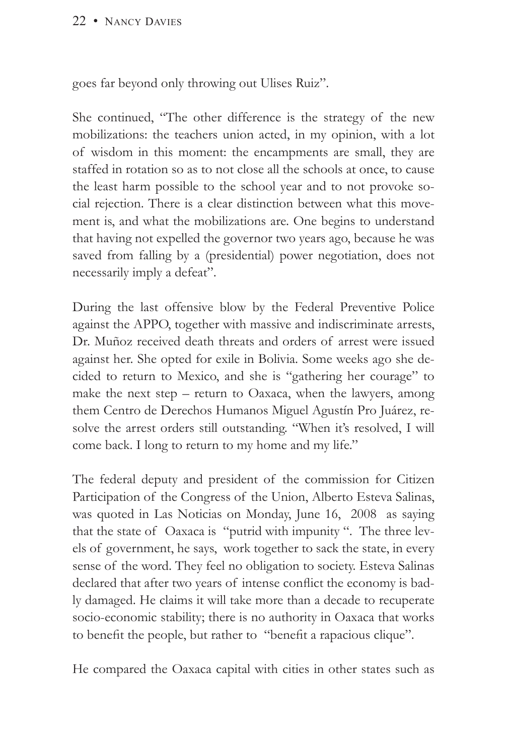#### 22 • NANCY DAVIES

goes far beyond only throwing out Ulises Ruiz".

She continued, "The other difference is the strategy of the new mobilizations: the teachers union acted, in my opinion, with a lot of wisdom in this moment: the encampments are small, they are staffed in rotation so as to not close all the schools at once, to cause the least harm possible to the school year and to not provoke social rejection. There is a clear distinction between what this movement is, and what the mobilizations are. One begins to understand that having not expelled the governor two years ago, because he was saved from falling by a (presidential) power negotiation, does not necessarily imply a defeat".

During the last offensive blow by the Federal Preventive Police against the APPO, together with massive and indiscriminate arrests, Dr. Muñoz received death threats and orders of arrest were issued against her. She opted for exile in Bolivia. Some weeks ago she decided to return to Mexico, and she is "gathering her courage" to make the next step – return to Oaxaca, when the lawyers, among them Centro de Derechos Humanos Miguel Agustín Pro Juárez, resolve the arrest orders still outstanding. "When it's resolved, I will come back. I long to return to my home and my life."

The federal deputy and president of the commission for Citizen Participation of the Congress of the Union, Alberto Esteva Salinas, was quoted in Las Noticias on Monday, June 16, 2008 as saying that the state of Oaxaca is "putrid with impunity ". The three levels of government, he says, work together to sack the state, in every sense of the word. They feel no obligation to society. Esteva Salinas declared that after two years of intense conflict the economy is badly damaged. He claims it will take more than a decade to recuperate socio-economic stability; there is no authority in Oaxaca that works to benefit the people, but rather to "benefit a rapacious clique".

He compared the Oaxaca capital with cities in other states such as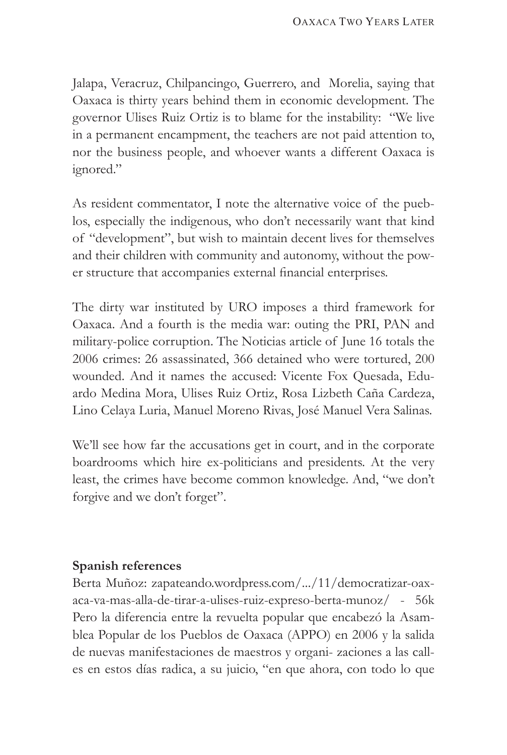Jalapa, Veracruz, Chilpancingo, Guerrero, and Morelia, saying that Oaxaca is thirty years behind them in economic development. The governor Ulises Ruiz Ortiz is to blame for the instability: "We live in a permanent encampment, the teachers are not paid attention to, nor the business people, and whoever wants a different Oaxaca is ignored."

As resident commentator, I note the alternative voice of the pueblos, especially the indigenous, who don't necessarily want that kind of "development", but wish to maintain decent lives for themselves and their children with community and autonomy, without the power structure that accompanies external financial enterprises.

The dirty war instituted by URO imposes a third framework for Oaxaca. And a fourth is the media war: outing the PRI, PAN and military-police corruption. The Noticias article of June 16 totals the 2006 crimes: 26 assassinated, 366 detained who were tortured, 200 wounded. And it names the accused: Vicente Fox Quesada, Eduardo Medina Mora, Ulises Ruiz Ortiz, Rosa Lizbeth Caña Cardeza, Lino Celaya Luria, Manuel Moreno Rivas, José Manuel Vera Salinas.

We'll see how far the accusations get in court, and in the corporate boardrooms which hire ex-politicians and presidents. At the very least, the crimes have become common knowledge. And, "we don't forgive and we don't forget".

#### **Spanish references**

Berta Muñoz: zapateando.wordpress.com/.../11/democratizar-oaxaca-va-mas-alla-de-tirar-a-ulises-ruiz-expreso-berta-munoz/ - 56k Pero la diferencia entre la revuelta popular que encabezó la Asamblea Popular de los Pueblos de Oaxaca (APPO) en 2006 y la salida de nuevas manifestaciones de maestros y organi- zaciones a las calles en estos días radica, a su juicio, "en que ahora, con todo lo que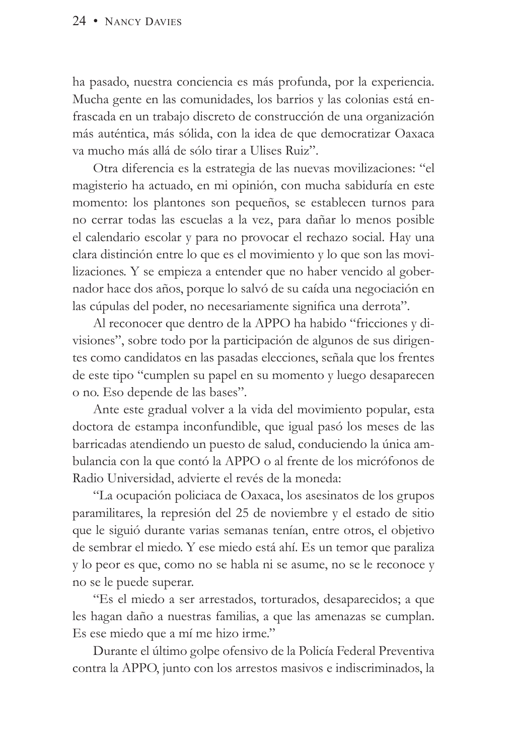ha pasado, nuestra conciencia es más profunda, por la experiencia. Mucha gente en las comunidades, los barrios y las colonias está enfrascada en un trabajo discreto de construcción de una organización más auténtica, más sólida, con la idea de que democratizar Oaxaca va mucho más allá de sólo tirar a Ulises Ruiz".

Otra diferencia es la estrategia de las nuevas movilizaciones: "el magisterio ha actuado, en mi opinión, con mucha sabiduría en este momento: los plantones son pequeños, se establecen turnos para no cerrar todas las escuelas a la vez, para dañar lo menos posible el calendario escolar y para no provocar el rechazo social. Hay una clara distinción entre lo que es el movimiento y lo que son las movilizaciones. Y se empieza a entender que no haber vencido al gobernador hace dos años, porque lo salvó de su caída una negociación en las cúpulas del poder, no necesariamente significa una derrota".

Al reconocer que dentro de la APPO ha habido "fricciones y divisiones", sobre todo por la participación de algunos de sus dirigentes como candidatos en las pasadas elecciones, señala que los frentes de este tipo "cumplen su papel en su momento y luego desaparecen o no. Eso depende de las bases".

Ante este gradual volver a la vida del movimiento popular, esta doctora de estampa inconfundible, que igual pasó los meses de las barricadas atendiendo un puesto de salud, conduciendo la única ambulancia con la que contó la APPO o al frente de los micrófonos de Radio Universidad, advierte el revés de la moneda:

"La ocupación policiaca de Oaxaca, los asesinatos de los grupos paramilitares, la represión del 25 de noviembre y el estado de sitio que le siguió durante varias semanas tenían, entre otros, el objetivo de sembrar el miedo. Y ese miedo está ahí. Es un temor que paraliza y lo peor es que, como no se habla ni se asume, no se le reconoce y no se le puede superar.

"Es el miedo a ser arrestados, torturados, desaparecidos; a que les hagan daño a nuestras familias, a que las amenazas se cumplan. Es ese miedo que a mí me hizo irme."

Durante el último golpe ofensivo de la Policía Federal Preventiva contra la APPO, junto con los arrestos masivos e indiscriminados, la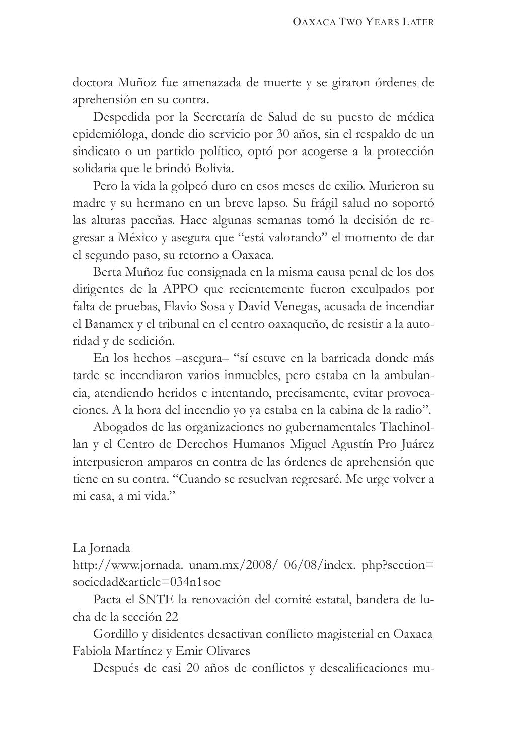doctora Muñoz fue amenazada de muerte y se giraron órdenes de aprehensión en su contra.

Despedida por la Secretaría de Salud de su puesto de médica epidemióloga, donde dio servicio por 30 años, sin el respaldo de un sindicato o un partido político, optó por acogerse a la protección solidaria que le brindó Bolivia.

Pero la vida la golpeó duro en esos meses de exilio. Murieron su madre y su hermano en un breve lapso. Su frágil salud no soportó las alturas paceñas. Hace algunas semanas tomó la decisión de regresar a México y asegura que "está valorando" el momento de dar el segundo paso, su retorno a Oaxaca.

Berta Muñoz fue consignada en la misma causa penal de los dos dirigentes de la APPO que recientemente fueron exculpados por falta de pruebas, Flavio Sosa y David Venegas, acusada de incendiar el Banamex y el tribunal en el centro oaxaqueño, de resistir a la autoridad y de sedición.

En los hechos –asegura– "sí estuve en la barricada donde más tarde se incendiaron varios inmuebles, pero estaba en la ambulancia, atendiendo heridos e intentando, precisamente, evitar provocaciones. A la hora del incendio yo ya estaba en la cabina de la radio".

Abogados de las organizaciones no gubernamentales Tlachinollan y el Centro de Derechos Humanos Miguel Agustín Pro Juárez interpusieron amparos en contra de las órdenes de aprehensión que tiene en su contra. "Cuando se resuelvan regresaré. Me urge volver a mi casa, a mi vida."

#### La Jornada

http://www.jornada. unam.mx/2008/ 06/08/index. php?section= sociedad&article=034n1soc

Pacta el SNTE la renovación del comité estatal, bandera de lucha de la sección 22

Gordillo y disidentes desactivan conflicto magisterial en Oaxaca Fabiola Martínez y Emir Olivares

Después de casi 20 años de conflictos y descalificaciones mu-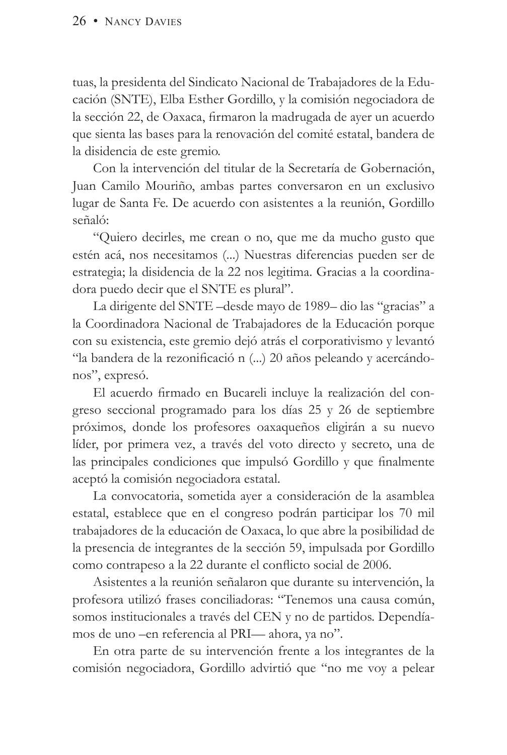tuas, la presidenta del Sindicato Nacional de Trabajadores de la Educación (SNTE), Elba Esther Gordillo, y la comisión negociadora de la sección 22, de Oaxaca, firmaron la madrugada de ayer un acuerdo que sienta las bases para la renovación del comité estatal, bandera de la disidencia de este gremio.

Con la intervención del titular de la Secretaría de Gobernación, Juan Camilo Mouriño, ambas partes conversaron en un exclusivo lugar de Santa Fe. De acuerdo con asistentes a la reunión, Gordillo señaló:

"Quiero decirles, me crean o no, que me da mucho gusto que estén acá, nos necesitamos (...) Nuestras diferencias pueden ser de estrategia; la disidencia de la 22 nos legitima. Gracias a la coordinadora puedo decir que el SNTE es plural".

La dirigente del SNTE –desde mayo de 1989– dio las "gracias" a la Coordinadora Nacional de Trabajadores de la Educación porque con su existencia, este gremio dejó atrás el corporativismo y levantó "la bandera de la rezonificació n (...) 20 años peleando y acercándonos", expresó.

El acuerdo firmado en Bucareli incluye la realización del congreso seccional programado para los días 25 y 26 de septiembre próximos, donde los profesores oaxaqueños eligirán a su nuevo líder, por primera vez, a través del voto directo y secreto, una de las principales condiciones que impulsó Gordillo y que finalmente aceptó la comisión negociadora estatal.

La convocatoria, sometida ayer a consideración de la asamblea estatal, establece que en el congreso podrán participar los 70 mil trabajadores de la educación de Oaxaca, lo que abre la posibilidad de la presencia de integrantes de la sección 59, impulsada por Gordillo como contrapeso a la 22 durante el conflicto social de 2006.

Asistentes a la reunión señalaron que durante su intervención, la profesora utilizó frases conciliadoras: "Tenemos una causa común, somos institucionales a través del CEN y no de partidos. Dependíamos de uno –en referencia al PRI— ahora, ya no".

En otra parte de su intervención frente a los integrantes de la comisión negociadora, Gordillo advirtió que "no me voy a pelear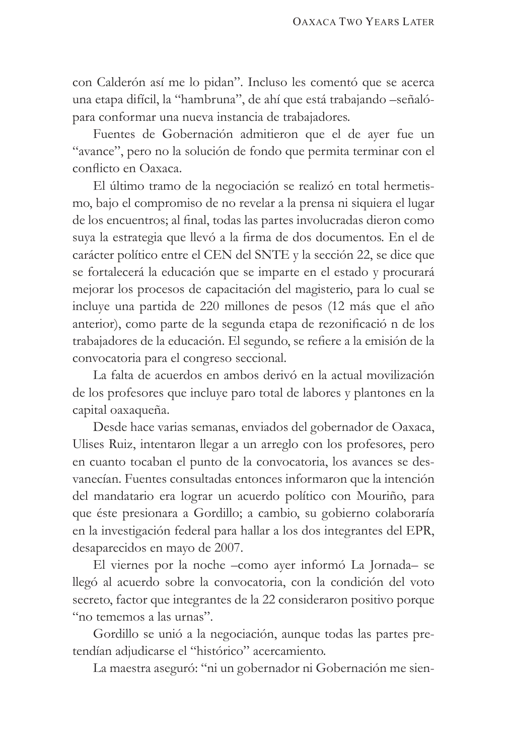con Calderón así me lo pidan". Incluso les comentó que se acerca una etapa difícil, la "hambruna", de ahí que está trabajando –señalópara conformar una nueva instancia de trabajadores.

Fuentes de Gobernación admitieron que el de ayer fue un "avance", pero no la solución de fondo que permita terminar con el conflicto en Oaxaca.

El último tramo de la negociación se realizó en total hermetismo, bajo el compromiso de no revelar a la prensa ni siquiera el lugar de los encuentros; al final, todas las partes involucradas dieron como suya la estrategia que llevó a la firma de dos documentos. En el de carácter político entre el CEN del SNTE y la sección 22, se dice que se fortalecerá la educación que se imparte en el estado y procurará mejorar los procesos de capacitación del magisterio, para lo cual se incluye una partida de 220 millones de pesos (12 más que el año anterior), como parte de la segunda etapa de rezonificació n de los trabajadores de la educación. El segundo, se refiere a la emisión de la convocatoria para el congreso seccional.

La falta de acuerdos en ambos derivó en la actual movilización de los profesores que incluye paro total de labores y plantones en la capital oaxaqueña.

Desde hace varias semanas, enviados del gobernador de Oaxaca, Ulises Ruiz, intentaron llegar a un arreglo con los profesores, pero en cuanto tocaban el punto de la convocatoria, los avances se desvanecían. Fuentes consultadas entonces informaron que la intención del mandatario era lograr un acuerdo político con Mouriño, para que éste presionara a Gordillo; a cambio, su gobierno colaboraría en la investigación federal para hallar a los dos integrantes del EPR, desaparecidos en mayo de 2007.

El viernes por la noche –como ayer informó La Jornada– se llegó al acuerdo sobre la convocatoria, con la condición del voto secreto, factor que integrantes de la 22 consideraron positivo porque "no tememos a las urnas".

Gordillo se unió a la negociación, aunque todas las partes pretendían adjudicarse el "histórico" acercamiento.

La maestra aseguró: "ni un gobernador ni Gobernación me sien-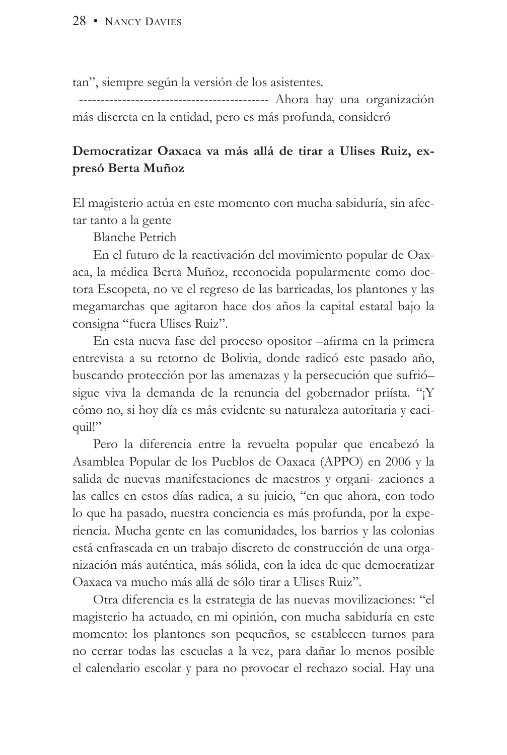tan", siempre según la versión de los asistentes.

 -------------------------------------------- Ahora hay una organización más discreta en la entidad, pero es más profunda, consideró

### **Democratizar Oaxaca va más allá de tirar a Ulises Ruiz, expresó Berta Muñoz**

El magisterio actúa en este momento con mucha sabiduría, sin afectar tanto a la gente

Blanche Petrich

En el futuro de la reactivación del movimiento popular de Oaxaca, la médica Berta Muñoz, reconocida popularmente como doctora Escopeta, no ve el regreso de las barricadas, los plantones y las megamarchas que agitaron hace dos años la capital estatal bajo la consigna "fuera Ulises Ruiz".

En esta nueva fase del proceso opositor –afirma en la primera entrevista a su retorno de Bolivia, donde radicó este pasado año, buscando protección por las amenazas y la persecución que sufrió– sigue viva la demanda de la renuncia del gobernador priísta. "¡Y cómo no, si hoy día es más evidente su naturaleza autoritaria y caciquil!"

Pero la diferencia entre la revuelta popular que encabezó la Asamblea Popular de los Pueblos de Oaxaca (APPO) en 2006 y la salida de nuevas manifestaciones de maestros y organi- zaciones a las calles en estos días radica, a su juicio, "en que ahora, con todo lo que ha pasado, nuestra conciencia es más profunda, por la experiencia. Mucha gente en las comunidades, los barrios y las colonias está enfrascada en un trabajo discreto de construcción de una organización más auténtica, más sólida, con la idea de que democratizar Oaxaca va mucho más allá de sólo tirar a Ulises Ruiz".

Otra diferencia es la estrategia de las nuevas movilizaciones: "el magisterio ha actuado, en mi opinión, con mucha sabiduría en este momento: los plantones son pequeños, se establecen turnos para no cerrar todas las escuelas a la vez, para dañar lo menos posible el calendario escolar y para no provocar el rechazo social. Hay una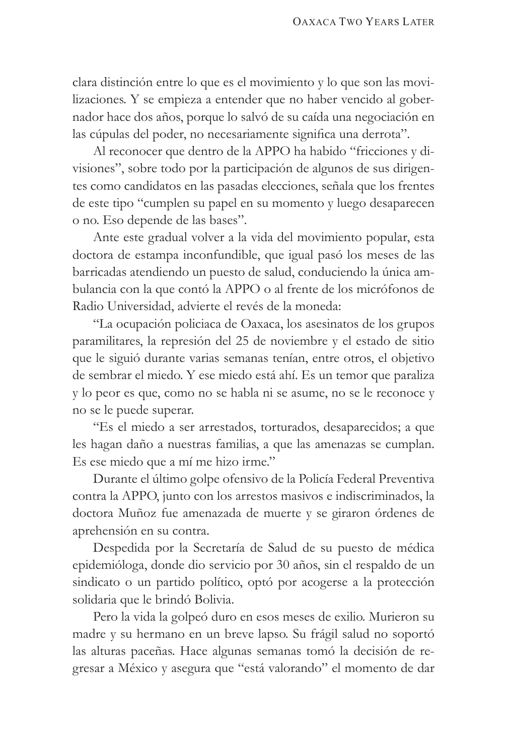clara distinción entre lo que es el movimiento y lo que son las movilizaciones. Y se empieza a entender que no haber vencido al gobernador hace dos años, porque lo salvó de su caída una negociación en las cúpulas del poder, no necesariamente significa una derrota".

Al reconocer que dentro de la APPO ha habido "fricciones y divisiones", sobre todo por la participación de algunos de sus dirigentes como candidatos en las pasadas elecciones, señala que los frentes de este tipo "cumplen su papel en su momento y luego desaparecen o no. Eso depende de las bases".

Ante este gradual volver a la vida del movimiento popular, esta doctora de estampa inconfundible, que igual pasó los meses de las barricadas atendiendo un puesto de salud, conduciendo la única ambulancia con la que contó la APPO o al frente de los micrófonos de Radio Universidad, advierte el revés de la moneda:

"La ocupación policiaca de Oaxaca, los asesinatos de los grupos paramilitares, la represión del 25 de noviembre y el estado de sitio que le siguió durante varias semanas tenían, entre otros, el objetivo de sembrar el miedo. Y ese miedo está ahí. Es un temor que paraliza y lo peor es que, como no se habla ni se asume, no se le reconoce y no se le puede superar.

"Es el miedo a ser arrestados, torturados, desaparecidos; a que les hagan daño a nuestras familias, a que las amenazas se cumplan. Es ese miedo que a mí me hizo irme."

Durante el último golpe ofensivo de la Policía Federal Preventiva contra la APPO, junto con los arrestos masivos e indiscriminados, la doctora Muñoz fue amenazada de muerte y se giraron órdenes de aprehensión en su contra.

Despedida por la Secretaría de Salud de su puesto de médica epidemióloga, donde dio servicio por 30 años, sin el respaldo de un sindicato o un partido político, optó por acogerse a la protección solidaria que le brindó Bolivia.

Pero la vida la golpeó duro en esos meses de exilio. Murieron su madre y su hermano en un breve lapso. Su frágil salud no soportó las alturas paceñas. Hace algunas semanas tomó la decisión de regresar a México y asegura que "está valorando" el momento de dar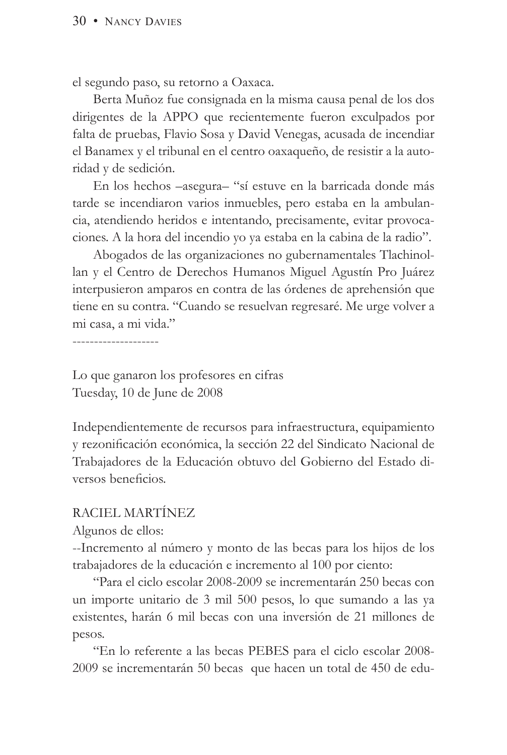el segundo paso, su retorno a Oaxaca.

Berta Muñoz fue consignada en la misma causa penal de los dos dirigentes de la APPO que recientemente fueron exculpados por falta de pruebas, Flavio Sosa y David Venegas, acusada de incendiar el Banamex y el tribunal en el centro oaxaqueño, de resistir a la autoridad y de sedición.

En los hechos –asegura– "sí estuve en la barricada donde más tarde se incendiaron varios inmuebles, pero estaba en la ambulancia, atendiendo heridos e intentando, precisamente, evitar provocaciones. A la hora del incendio yo ya estaba en la cabina de la radio".

Abogados de las organizaciones no gubernamentales Tlachinollan y el Centro de Derechos Humanos Miguel Agustín Pro Juárez interpusieron amparos en contra de las órdenes de aprehensión que tiene en su contra. "Cuando se resuelvan regresaré. Me urge volver a mi casa, a mi vida."

--------------------

Lo que ganaron los profesores en cifras Tuesday, 10 de June de 2008

Independientemente de recursos para infraestructura, equipamiento y rezonificación económica, la sección 22 del Sindicato Nacional de Trabajadores de la Educación obtuvo del Gobierno del Estado diversos beneficios.

#### RACIEL MARTÍNEZ

Algunos de ellos:

--Incremento al número y monto de las becas para los hijos de los trabajadores de la educación e incremento al 100 por ciento:

"Para el ciclo escolar 2008-2009 se incrementarán 250 becas con un importe unitario de 3 mil 500 pesos, lo que sumando a las ya existentes, harán 6 mil becas con una inversión de 21 millones de pesos.

"En lo referente a las becas PEBES para el ciclo escolar 2008- 2009 se incrementarán 50 becas que hacen un total de 450 de edu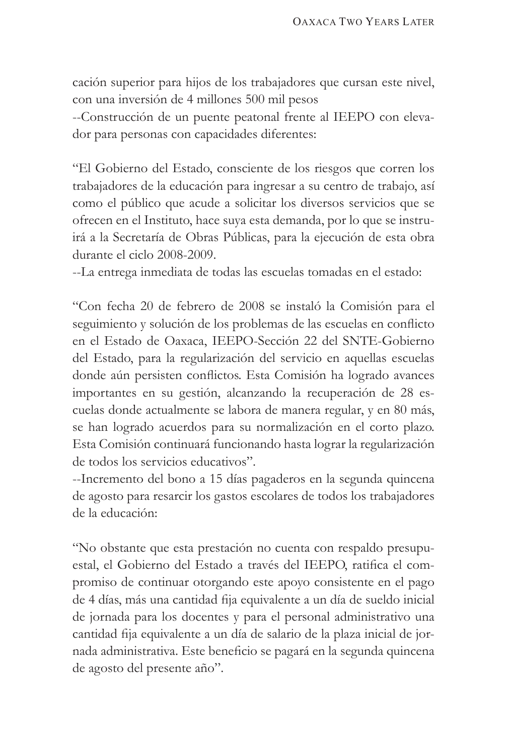cación superior para hijos de los trabajadores que cursan este nivel, con una inversión de 4 millones 500 mil pesos

--Construcción de un puente peatonal frente al IEEPO con elevador para personas con capacidades diferentes:

"El Gobierno del Estado, consciente de los riesgos que corren los trabajadores de la educación para ingresar a su centro de trabajo, así como el público que acude a solicitar los diversos servicios que se ofrecen en el Instituto, hace suya esta demanda, por lo que se instruirá a la Secretaría de Obras Públicas, para la ejecución de esta obra durante el ciclo 2008-2009.

--La entrega inmediata de todas las escuelas tomadas en el estado:

"Con fecha 20 de febrero de 2008 se instaló la Comisión para el seguimiento y solución de los problemas de las escuelas en conflicto en el Estado de Oaxaca, IEEPO-Sección 22 del SNTE-Gobierno del Estado, para la regularización del servicio en aquellas escuelas donde aún persisten conflictos. Esta Comisión ha logrado avances importantes en su gestión, alcanzando la recuperación de 28 escuelas donde actualmente se labora de manera regular, y en 80 más, se han logrado acuerdos para su normalización en el corto plazo. Esta Comisión continuará funcionando hasta lograr la regularización de todos los servicios educativos".

--Incremento del bono a 15 días pagaderos en la segunda quincena de agosto para resarcir los gastos escolares de todos los trabajadores de la educación:

"No obstante que esta prestación no cuenta con respaldo presupuestal, el Gobierno del Estado a través del IEEPO, ratifica el compromiso de continuar otorgando este apoyo consistente en el pago de 4 días, más una cantidad fija equivalente a un día de sueldo inicial de jornada para los docentes y para el personal administrativo una cantidad fija equivalente a un día de salario de la plaza inicial de jornada administrativa. Este beneficio se pagará en la segunda quincena de agosto del presente año".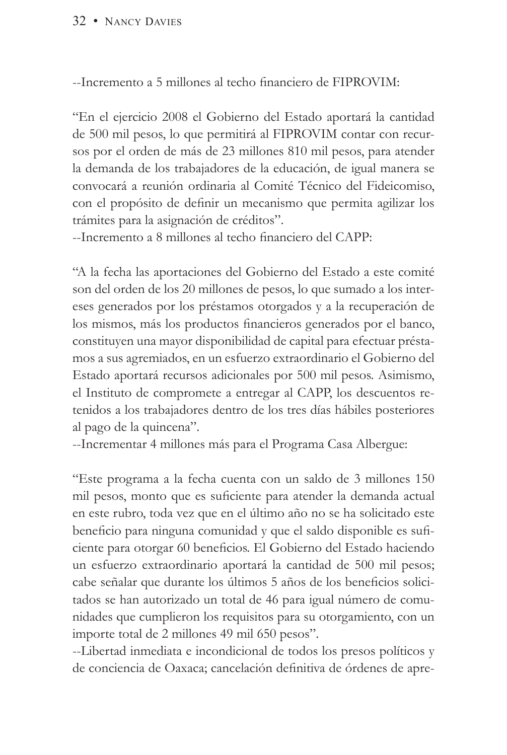#### 32 • NANCY DAVIES

--Incremento a 5 millones al techo financiero de FIPROVIM:

"En el ejercicio 2008 el Gobierno del Estado aportará la cantidad de 500 mil pesos, lo que permitirá al FIPROVIM contar con recursos por el orden de más de 23 millones 810 mil pesos, para atender la demanda de los trabajadores de la educación, de igual manera se convocará a reunión ordinaria al Comité Técnico del Fideicomiso, con el propósito de definir un mecanismo que permita agilizar los trámites para la asignación de créditos".

--Incremento a 8 millones al techo financiero del CAPP:

"A la fecha las aportaciones del Gobierno del Estado a este comité son del orden de los 20 millones de pesos, lo que sumado a los intereses generados por los préstamos otorgados y a la recuperación de los mismos, más los productos financieros generados por el banco, constituyen una mayor disponibilidad de capital para efectuar préstamos a sus agremiados, en un esfuerzo extraordinario el Gobierno del Estado aportará recursos adicionales por 500 mil pesos. Asimismo, el Instituto de compromete a entregar al CAPP, los descuentos retenidos a los trabajadores dentro de los tres días hábiles posteriores al pago de la quincena".

--Incrementar 4 millones más para el Programa Casa Albergue:

"Este programa a la fecha cuenta con un saldo de 3 millones 150 mil pesos, monto que es suficiente para atender la demanda actual en este rubro, toda vez que en el último año no se ha solicitado este beneficio para ninguna comunidad y que el saldo disponible es suficiente para otorgar 60 beneficios. El Gobierno del Estado haciendo un esfuerzo extraordinario aportará la cantidad de 500 mil pesos; cabe señalar que durante los últimos 5 años de los beneficios solicitados se han autorizado un total de 46 para igual número de comunidades que cumplieron los requisitos para su otorgamiento, con un importe total de 2 millones 49 mil 650 pesos".

--Libertad inmediata e incondicional de todos los presos políticos y de conciencia de Oaxaca; cancelación definitiva de órdenes de apre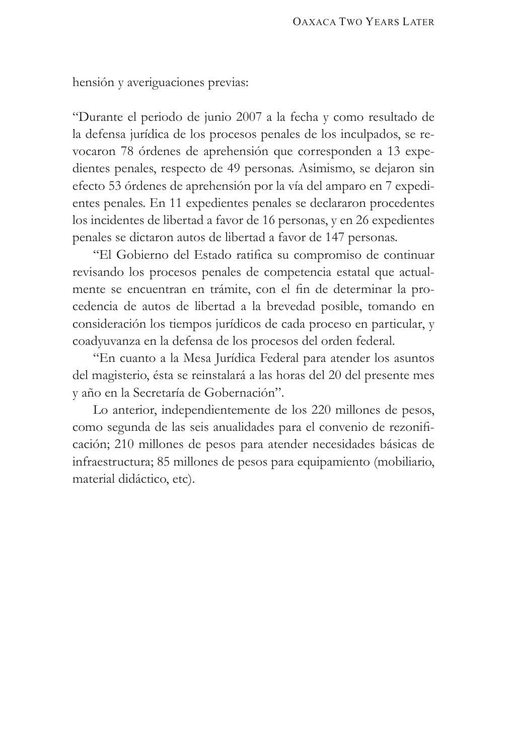hensión y averiguaciones previas:

"Durante el periodo de junio 2007 a la fecha y como resultado de la defensa jurídica de los procesos penales de los inculpados, se revocaron 78 órdenes de aprehensión que corresponden a 13 expedientes penales, respecto de 49 personas. Asimismo, se dejaron sin efecto 53 órdenes de aprehensión por la vía del amparo en 7 expedientes penales. En 11 expedientes penales se declararon procedentes los incidentes de libertad a favor de 16 personas, y en 26 expedientes penales se dictaron autos de libertad a favor de 147 personas.

"El Gobierno del Estado ratifica su compromiso de continuar revisando los procesos penales de competencia estatal que actualmente se encuentran en trámite, con el fin de determinar la procedencia de autos de libertad a la brevedad posible, tomando en consideración los tiempos jurídicos de cada proceso en particular, y coadyuvanza en la defensa de los procesos del orden federal.

"En cuanto a la Mesa Jurídica Federal para atender los asuntos del magisterio, ésta se reinstalará a las horas del 20 del presente mes y año en la Secretaría de Gobernación".

Lo anterior, independientemente de los 220 millones de pesos, como segunda de las seis anualidades para el convenio de rezonificación; 210 millones de pesos para atender necesidades básicas de infraestructura; 85 millones de pesos para equipamiento (mobiliario, material didáctico, etc).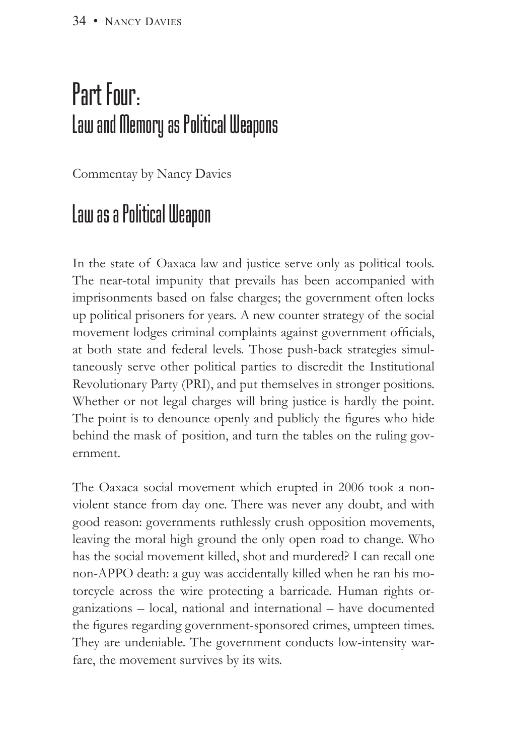## Part Four: Law and Memory as Political Weapons

Commentay by Nancy Davies

## Law as a Political Weapon

In the state of Oaxaca law and justice serve only as political tools. The near-total impunity that prevails has been accompanied with imprisonments based on false charges; the government often locks up political prisoners for years. A new counter strategy of the social movement lodges criminal complaints against government officials, at both state and federal levels. Those push-back strategies simultaneously serve other political parties to discredit the Institutional Revolutionary Party (PRI), and put themselves in stronger positions. Whether or not legal charges will bring justice is hardly the point. The point is to denounce openly and publicly the figures who hide behind the mask of position, and turn the tables on the ruling government.

The Oaxaca social movement which erupted in 2006 took a nonviolent stance from day one. There was never any doubt, and with good reason: governments ruthlessly crush opposition movements, leaving the moral high ground the only open road to change. Who has the social movement killed, shot and murdered? I can recall one non-APPO death: a guy was accidentally killed when he ran his motorcycle across the wire protecting a barricade. Human rights organizations – local, national and international – have documented the figures regarding government-sponsored crimes, umpteen times. They are undeniable. The government conducts low-intensity warfare, the movement survives by its wits.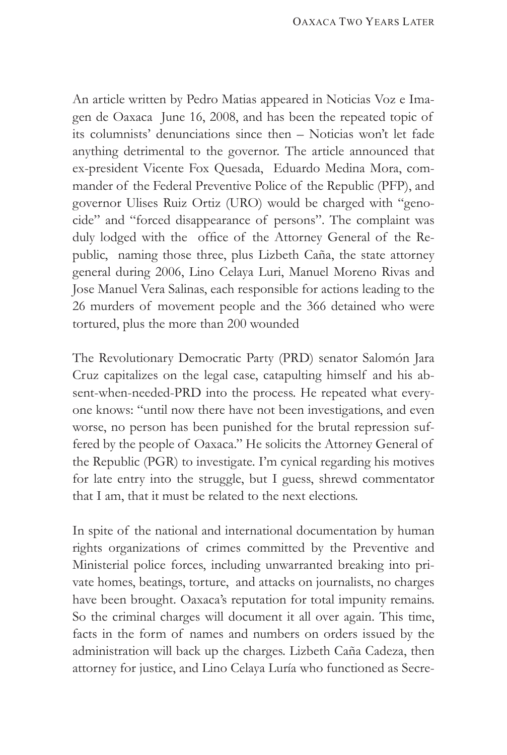An article written by Pedro Matias appeared in Noticias Voz e Imagen de Oaxaca June 16, 2008, and has been the repeated topic of its columnists' denunciations since then – Noticias won't let fade anything detrimental to the governor. The article announced that ex-president Vicente Fox Quesada, Eduardo Medina Mora, commander of the Federal Preventive Police of the Republic (PFP), and governor Ulises Ruiz Ortiz (URO) would be charged with "genocide" and "forced disappearance of persons". The complaint was duly lodged with the office of the Attorney General of the Republic, naming those three, plus Lizbeth Caña, the state attorney general during 2006, Lino Celaya Luri, Manuel Moreno Rivas and Jose Manuel Vera Salinas, each responsible for actions leading to the 26 murders of movement people and the 366 detained who were tortured, plus the more than 200 wounded

The Revolutionary Democratic Party (PRD) senator Salomón Jara Cruz capitalizes on the legal case, catapulting himself and his absent-when-needed-PRD into the process. He repeated what everyone knows: "until now there have not been investigations, and even worse, no person has been punished for the brutal repression suffered by the people of Oaxaca." He solicits the Attorney General of the Republic (PGR) to investigate. I'm cynical regarding his motives for late entry into the struggle, but I guess, shrewd commentator that I am, that it must be related to the next elections.

In spite of the national and international documentation by human rights organizations of crimes committed by the Preventive and Ministerial police forces, including unwarranted breaking into private homes, beatings, torture, and attacks on journalists, no charges have been brought. Oaxaca's reputation for total impunity remains. So the criminal charges will document it all over again. This time, facts in the form of names and numbers on orders issued by the administration will back up the charges. Lizbeth Caña Cadeza, then attorney for justice, and Lino Celaya Luría who functioned as Secre-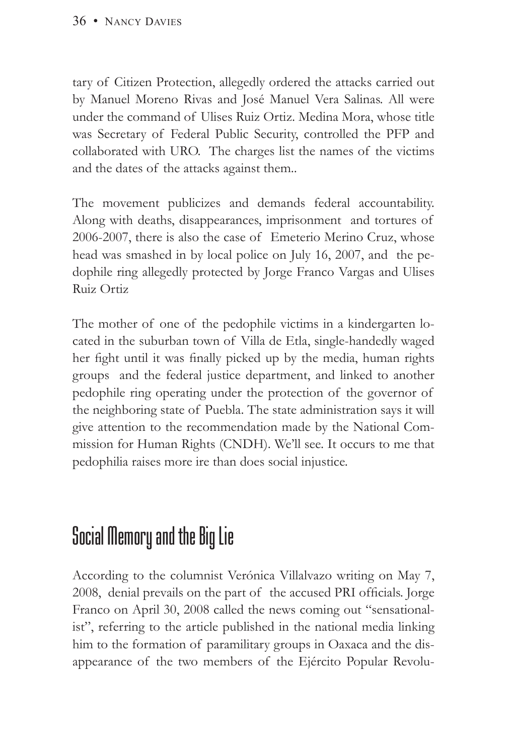tary of Citizen Protection, allegedly ordered the attacks carried out by Manuel Moreno Rivas and José Manuel Vera Salinas. All were under the command of Ulises Ruiz Ortiz. Medina Mora, whose title was Secretary of Federal Public Security, controlled the PFP and collaborated with URO. The charges list the names of the victims and the dates of the attacks against them..

The movement publicizes and demands federal accountability. Along with deaths, disappearances, imprisonment and tortures of 2006-2007, there is also the case of Emeterio Merino Cruz, whose head was smashed in by local police on July 16, 2007, and the pedophile ring allegedly protected by Jorge Franco Vargas and Ulises Ruiz Ortiz

The mother of one of the pedophile victims in a kindergarten located in the suburban town of Villa de Etla, single-handedly waged her fight until it was finally picked up by the media, human rights groups and the federal justice department, and linked to another pedophile ring operating under the protection of the governor of the neighboring state of Puebla. The state administration says it will give attention to the recommendation made by the National Commission for Human Rights (CNDH). We'll see. It occurs to me that pedophilia raises more ire than does social injustice.

## Social Memory and the Big Lie

According to the columnist Verónica Villalvazo writing on May 7, 2008, denial prevails on the part of the accused PRI officials. Jorge Franco on April 30, 2008 called the news coming out "sensationalist", referring to the article published in the national media linking him to the formation of paramilitary groups in Oaxaca and the disappearance of the two members of the Ejército Popular Revolu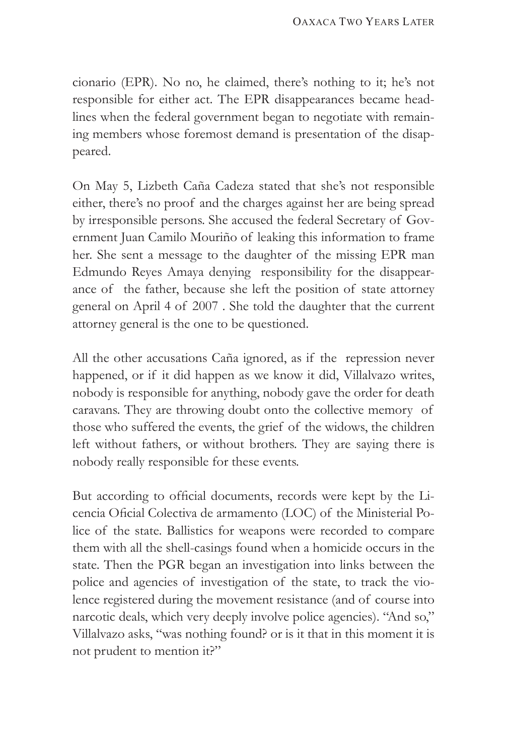cionario (EPR). No no, he claimed, there's nothing to it; he's not responsible for either act. The EPR disappearances became headlines when the federal government began to negotiate with remaining members whose foremost demand is presentation of the disappeared.

On May 5, Lizbeth Caña Cadeza stated that she's not responsible either, there's no proof and the charges against her are being spread by irresponsible persons. She accused the federal Secretary of Government Juan Camilo Mouriño of leaking this information to frame her. She sent a message to the daughter of the missing EPR man Edmundo Reyes Amaya denying responsibility for the disappearance of the father, because she left the position of state attorney general on April 4 of 2007 . She told the daughter that the current attorney general is the one to be questioned.

All the other accusations Caña ignored, as if the repression never happened, or if it did happen as we know it did, Villalvazo writes, nobody is responsible for anything, nobody gave the order for death caravans. They are throwing doubt onto the collective memory of those who suffered the events, the grief of the widows, the children left without fathers, or without brothers. They are saying there is nobody really responsible for these events.

But according to official documents, records were kept by the Licencia Oficial Colectiva de armamento (LOC) of the Ministerial Police of the state. Ballistics for weapons were recorded to compare them with all the shell-casings found when a homicide occurs in the state. Then the PGR began an investigation into links between the police and agencies of investigation of the state, to track the violence registered during the movement resistance (and of course into narcotic deals, which very deeply involve police agencies). "And so," Villalvazo asks, "was nothing found? or is it that in this moment it is not prudent to mention it?"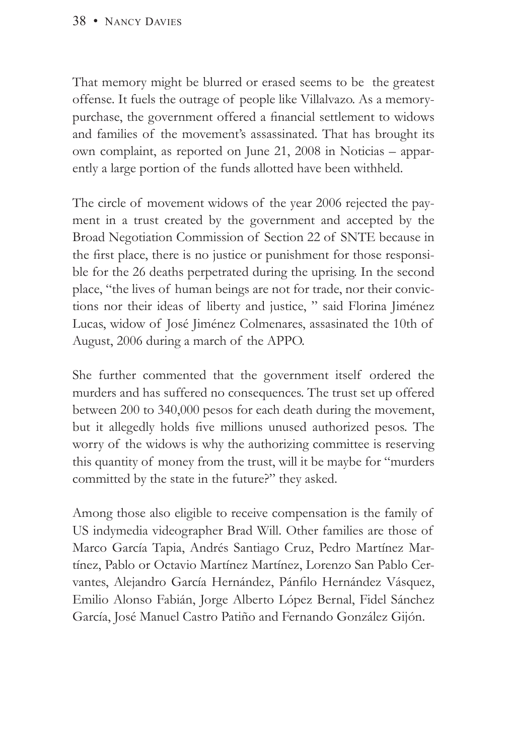That memory might be blurred or erased seems to be the greatest offense. It fuels the outrage of people like Villalvazo. As a memorypurchase, the government offered a financial settlement to widows and families of the movement's assassinated. That has brought its own complaint, as reported on June 21, 2008 in Noticias – apparently a large portion of the funds allotted have been withheld.

The circle of movement widows of the year 2006 rejected the payment in a trust created by the government and accepted by the Broad Negotiation Commission of Section 22 of SNTE because in the first place, there is no justice or punishment for those responsible for the 26 deaths perpetrated during the uprising. In the second place, "the lives of human beings are not for trade, nor their convictions nor their ideas of liberty and justice, " said Florina Jiménez Lucas, widow of José Jiménez Colmenares, assasinated the 10th of August, 2006 during a march of the APPO.

She further commented that the government itself ordered the murders and has suffered no consequences. The trust set up offered between 200 to 340,000 pesos for each death during the movement, but it allegedly holds five millions unused authorized pesos. The worry of the widows is why the authorizing committee is reserving this quantity of money from the trust, will it be maybe for "murders committed by the state in the future?" they asked.

Among those also eligible to receive compensation is the family of US indymedia videographer Brad Will. Other families are those of Marco García Tapia, Andrés Santiago Cruz, Pedro Martínez Martínez, Pablo or Octavio Martínez Martínez, Lorenzo San Pablo Cervantes, Alejandro García Hernández, Pánfilo Hernández Vásquez, Emilio Alonso Fabián, Jorge Alberto López Bernal, Fidel Sánchez García, José Manuel Castro Patiño and Fernando González Gijón.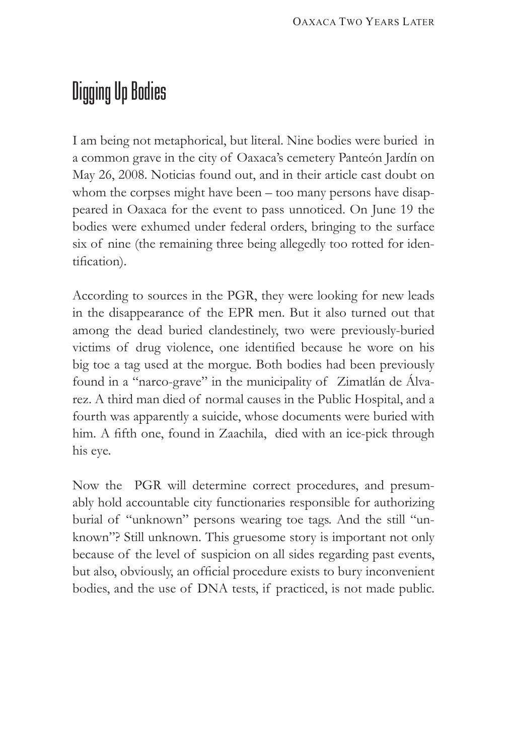## Digging Up Bodies

I am being not metaphorical, but literal. Nine bodies were buried in a common grave in the city of Oaxaca's cemetery Panteón Jardín on May 26, 2008. Noticias found out, and in their article cast doubt on whom the corpses might have been – too many persons have disappeared in Oaxaca for the event to pass unnoticed. On June 19 the bodies were exhumed under federal orders, bringing to the surface six of nine (the remaining three being allegedly too rotted for identification).

According to sources in the PGR, they were looking for new leads in the disappearance of the EPR men. But it also turned out that among the dead buried clandestinely, two were previously-buried victims of drug violence, one identified because he wore on his big toe a tag used at the morgue. Both bodies had been previously found in a "narco-grave" in the municipality of Zimatlán de Álvarez. A third man died of normal causes in the Public Hospital, and a fourth was apparently a suicide, whose documents were buried with him. A fifth one, found in Zaachila, died with an ice-pick through his eye.

Now the PGR will determine correct procedures, and presumably hold accountable city functionaries responsible for authorizing burial of "unknown" persons wearing toe tags. And the still "unknown"? Still unknown. This gruesome story is important not only because of the level of suspicion on all sides regarding past events, but also, obviously, an official procedure exists to bury inconvenient bodies, and the use of DNA tests, if practiced, is not made public.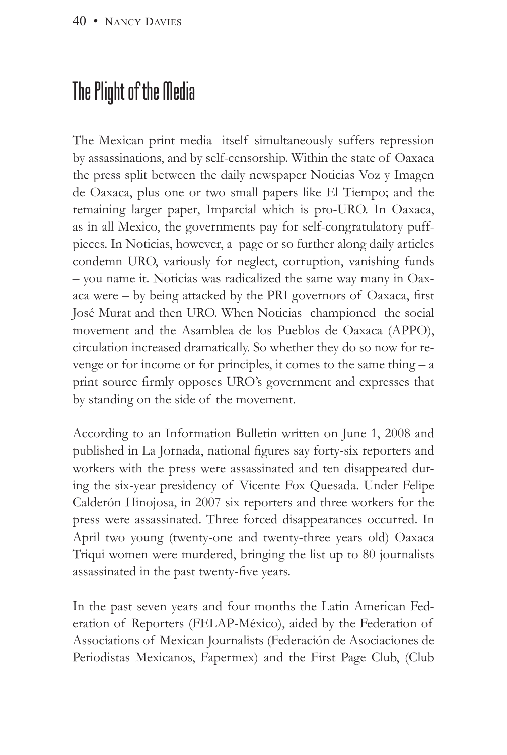## The Plight of the Media

The Mexican print media itself simultaneously suffers repression by assassinations, and by self-censorship. Within the state of Oaxaca the press split between the daily newspaper Noticias Voz y Imagen de Oaxaca, plus one or two small papers like El Tiempo; and the remaining larger paper, Imparcial which is pro-URO. In Oaxaca, as in all Mexico, the governments pay for self-congratulatory puffpieces. In Noticias, however, a page or so further along daily articles condemn URO, variously for neglect, corruption, vanishing funds – you name it. Noticias was radicalized the same way many in Oaxaca were – by being attacked by the PRI governors of Oaxaca, first José Murat and then URO. When Noticias championed the social movement and the Asamblea de los Pueblos de Oaxaca (APPO), circulation increased dramatically. So whether they do so now for revenge or for income or for principles, it comes to the same thing – a print source firmly opposes URO's government and expresses that by standing on the side of the movement.

According to an Information Bulletin written on June 1, 2008 and published in La Jornada, national figures say forty-six reporters and workers with the press were assassinated and ten disappeared during the six-year presidency of Vicente Fox Quesada. Under Felipe Calderón Hinojosa, in 2007 six reporters and three workers for the press were assassinated. Three forced disappearances occurred. In April two young (twenty-one and twenty-three years old) Oaxaca Triqui women were murdered, bringing the list up to 80 journalists assassinated in the past twenty-five years.

In the past seven years and four months the Latin American Federation of Reporters (FELAP-México), aided by the Federation of Associations of Mexican Journalists (Federación de Asociaciones de Periodistas Mexicanos, Fapermex) and the First Page Club, (Club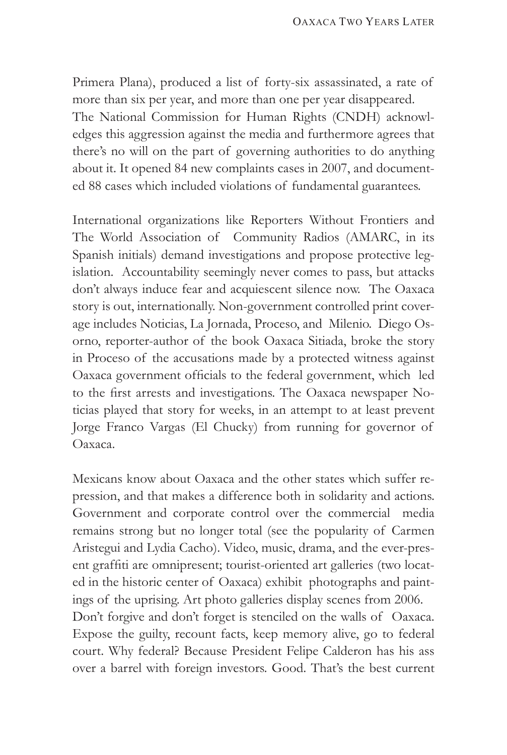Primera Plana), produced a list of forty-six assassinated, a rate of more than six per year, and more than one per year disappeared. The National Commission for Human Rights (CNDH) acknowledges this aggression against the media and furthermore agrees that there's no will on the part of governing authorities to do anything about it. It opened 84 new complaints cases in 2007, and documented 88 cases which included violations of fundamental guarantees.

International organizations like Reporters Without Frontiers and The World Association of Community Radios (AMARC, in its Spanish initials) demand investigations and propose protective legislation. Accountability seemingly never comes to pass, but attacks don't always induce fear and acquiescent silence now. The Oaxaca story is out, internationally. Non-government controlled print coverage includes Noticias, La Jornada, Proceso, and Milenio. Diego Osorno, reporter-author of the book Oaxaca Sitiada, broke the story in Proceso of the accusations made by a protected witness against Oaxaca government officials to the federal government, which led to the first arrests and investigations. The Oaxaca newspaper Noticias played that story for weeks, in an attempt to at least prevent Jorge Franco Vargas (El Chucky) from running for governor of Oaxaca.

Mexicans know about Oaxaca and the other states which suffer repression, and that makes a difference both in solidarity and actions. Government and corporate control over the commercial media remains strong but no longer total (see the popularity of Carmen Aristegui and Lydia Cacho). Video, music, drama, and the ever-present graffiti are omnipresent; tourist-oriented art galleries (two located in the historic center of Oaxaca) exhibit photographs and paintings of the uprising. Art photo galleries display scenes from 2006. Don't forgive and don't forget is stenciled on the walls of Oaxaca. Expose the guilty, recount facts, keep memory alive, go to federal court. Why federal? Because President Felipe Calderon has his ass over a barrel with foreign investors. Good. That's the best current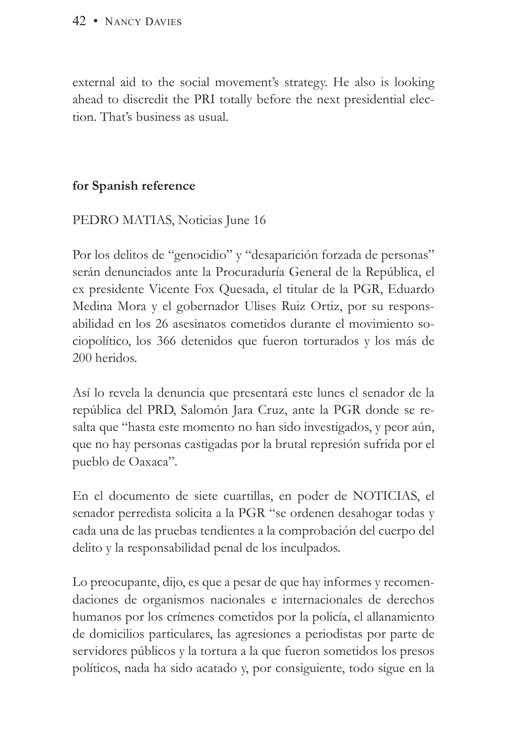external aid to the social movement's strategy. He also is looking ahead to discredit the PRI totally before the next presidential election. That's business as usual.

### **for Spanish reference**

### PEDRO MATIAS, Noticias June 16

Por los delitos de "genocidio" y "desaparición forzada de personas" serán denunciados ante la Procuraduría General de la República, el ex presidente Vicente Fox Quesada, el titular de la PGR, Eduardo Medina Mora y el gobernador Ulises Ruiz Ortiz, por su responsabilidad en los 26 asesinatos cometidos durante el movimiento sociopolítico, los 366 detenidos que fueron torturados y los más de 200 heridos.

Así lo revela la denuncia que presentará este lunes el senador de la república del PRD, Salomón Jara Cruz, ante la PGR donde se resalta que "hasta este momento no han sido investigados, y peor aún, que no hay personas castigadas por la brutal represión sufrida por el pueblo de Oaxaca".

En el documento de siete cuartillas, en poder de NOTICIAS, el senador perredista solicita a la PGR "se ordenen desahogar todas y cada una de las pruebas tendientes a la comprobación del cuerpo del delito y la responsabilidad penal de los inculpados.

Lo preocupante, dijo, es que a pesar de que hay informes y recomendaciones de organismos nacionales e internacionales de derechos humanos por los crímenes cometidos por la policía, el allanamiento de domicilios particulares, las agresiones a periodistas por parte de servidores públicos y la tortura a la que fueron sometidos los presos políticos, nada ha sido acatado y, por consiguiente, todo sigue en la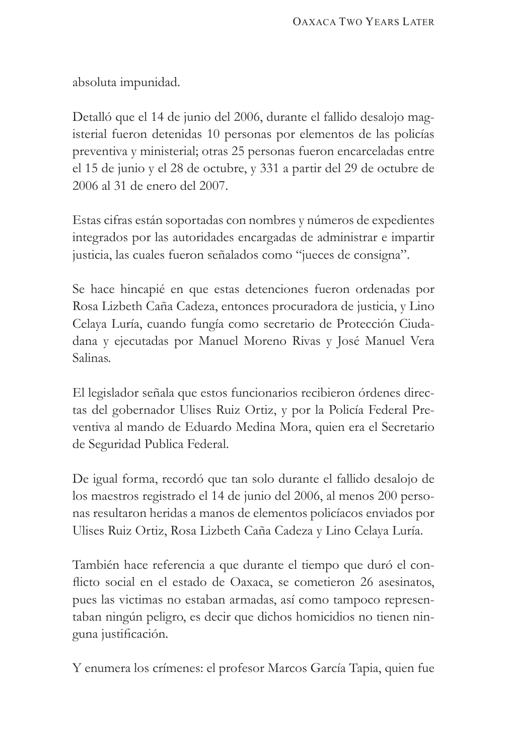absoluta impunidad.

Detalló que el 14 de junio del 2006, durante el fallido desalojo magisterial fueron detenidas 10 personas por elementos de las policías preventiva y ministerial; otras 25 personas fueron encarceladas entre el 15 de junio y el 28 de octubre, y 331 a partir del 29 de octubre de 2006 al 31 de enero del 2007.

Estas cifras están soportadas con nombres y números de expedientes integrados por las autoridades encargadas de administrar e impartir justicia, las cuales fueron señalados como "jueces de consigna".

Se hace hincapié en que estas detenciones fueron ordenadas por Rosa Lizbeth Caña Cadeza, entonces procuradora de justicia, y Lino Celaya Luría, cuando fungía como secretario de Protección Ciudadana y ejecutadas por Manuel Moreno Rivas y José Manuel Vera Salinas.

El legislador señala que estos funcionarios recibieron órdenes directas del gobernador Ulises Ruiz Ortiz, y por la Policía Federal Preventiva al mando de Eduardo Medina Mora, quien era el Secretario de Seguridad Publica Federal.

De igual forma, recordó que tan solo durante el fallido desalojo de los maestros registrado el 14 de junio del 2006, al menos 200 personas resultaron heridas a manos de elementos policíacos enviados por Ulises Ruiz Ortiz, Rosa Lizbeth Caña Cadeza y Lino Celaya Luría.

También hace referencia a que durante el tiempo que duró el conflicto social en el estado de Oaxaca, se cometieron 26 asesinatos, pues las victimas no estaban armadas, así como tampoco representaban ningún peligro, es decir que dichos homicidios no tienen ninguna justificación.

Y enumera los crímenes: el profesor Marcos García Tapia, quien fue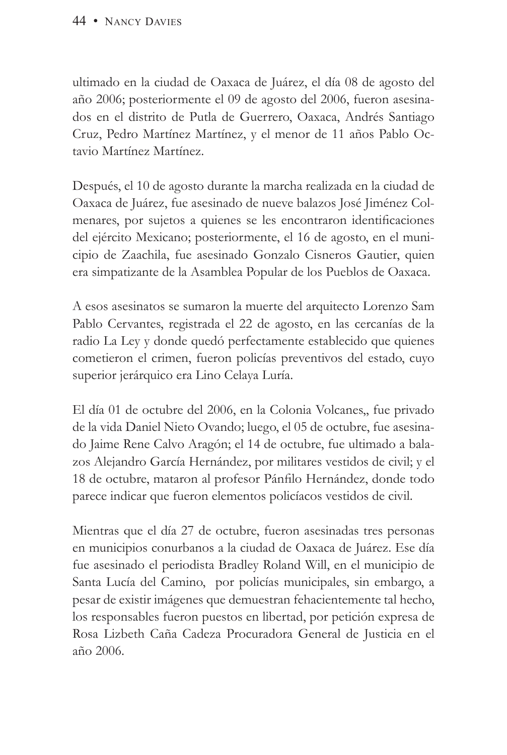ultimado en la ciudad de Oaxaca de Juárez, el día 08 de agosto del año 2006; posteriormente el 09 de agosto del 2006, fueron asesinados en el distrito de Putla de Guerrero, Oaxaca, Andrés Santiago Cruz, Pedro Martínez Martínez, y el menor de 11 años Pablo Octavio Martínez Martínez.

Después, el 10 de agosto durante la marcha realizada en la ciudad de Oaxaca de Juárez, fue asesinado de nueve balazos José Jiménez Colmenares, por sujetos a quienes se les encontraron identificaciones del ejército Mexicano; posteriormente, el 16 de agosto, en el municipio de Zaachila, fue asesinado Gonzalo Cisneros Gautier, quien era simpatizante de la Asamblea Popular de los Pueblos de Oaxaca.

A esos asesinatos se sumaron la muerte del arquitecto Lorenzo Sam Pablo Cervantes, registrada el 22 de agosto, en las cercanías de la radio La Ley y donde quedó perfectamente establecido que quienes cometieron el crimen, fueron policías preventivos del estado, cuyo superior jerárquico era Lino Celaya Luría.

El día 01 de octubre del 2006, en la Colonia Volcanes,, fue privado de la vida Daniel Nieto Ovando; luego, el 05 de octubre, fue asesinado Jaime Rene Calvo Aragón; el 14 de octubre, fue ultimado a balazos Alejandro García Hernández, por militares vestidos de civil; y el 18 de octubre, mataron al profesor Pánfilo Hernández, donde todo parece indicar que fueron elementos policíacos vestidos de civil.

Mientras que el día 27 de octubre, fueron asesinadas tres personas en municipios conurbanos a la ciudad de Oaxaca de Juárez. Ese día fue asesinado el periodista Bradley Roland Will, en el municipio de Santa Lucía del Camino, por policías municipales, sin embargo, a pesar de existir imágenes que demuestran fehacientemente tal hecho, los responsables fueron puestos en libertad, por petición expresa de Rosa Lizbeth Caña Cadeza Procuradora General de Justicia en el año 2006.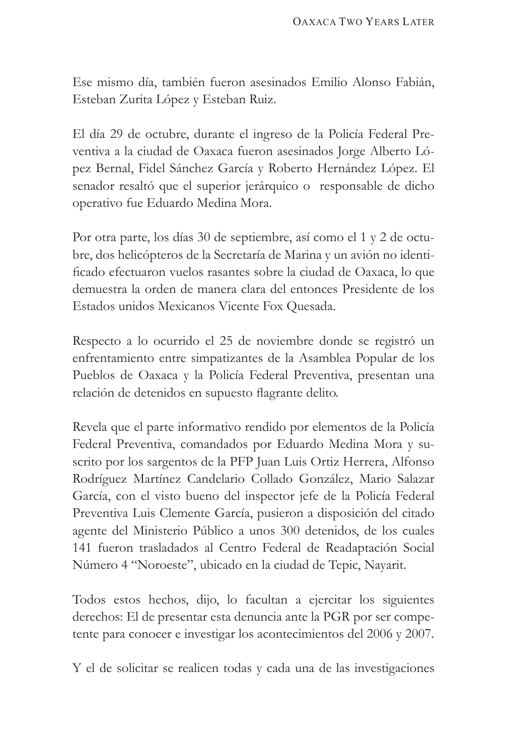Ese mismo día, también fueron asesinados Emilio Alonso Fabián, Esteban Zurita López y Esteban Ruiz.

El día 29 de octubre, durante el ingreso de la Policía Federal Preventiva a la ciudad de Oaxaca fueron asesinados Jorge Alberto López Bernal, Fidel Sánchez García y Roberto Hernández López. El senador resaltó que el superior jerárquico o responsable de dicho operativo fue Eduardo Medina Mora.

Por otra parte, los días 30 de septiembre, así como el 1 y 2 de octubre, dos helicópteros de la Secretaría de Marina y un avión no identificado efectuaron vuelos rasantes sobre la ciudad de Oaxaca, lo que demuestra la orden de manera clara del entonces Presidente de los Estados unidos Mexicanos Vicente Fox Quesada.

Respecto a lo ocurrido el 25 de noviembre donde se registró un enfrentamiento entre simpatizantes de la Asamblea Popular de los Pueblos de Oaxaca y la Policía Federal Preventiva, presentan una relación de detenidos en supuesto flagrante delito.

Revela que el parte informativo rendido por elementos de la Policía Federal Preventiva, comandados por Eduardo Medina Mora y suscrito por los sargentos de la PFP Juan Luis Ortiz Herrera, Alfonso Rodríguez Martínez Candelario Collado González, Mario Salazar García, con el visto bueno del inspector jefe de la Policía Federal Preventiva Luis Clemente García, pusieron a disposición del citado agente del Ministerio Público a unos 300 detenidos, de los cuales 141 fueron trasladados al Centro Federal de Readaptación Social Número 4 "Noroeste", ubicado en la ciudad de Tepic, Nayarit.

Todos estos hechos, dijo, lo facultan a ejercitar los siguientes derechos: El de presentar esta denuncia ante la PGR por ser competente para conocer e investigar los acontecimientos del 2006 y 2007.

Y el de solicitar se realicen todas y cada una de las investigaciones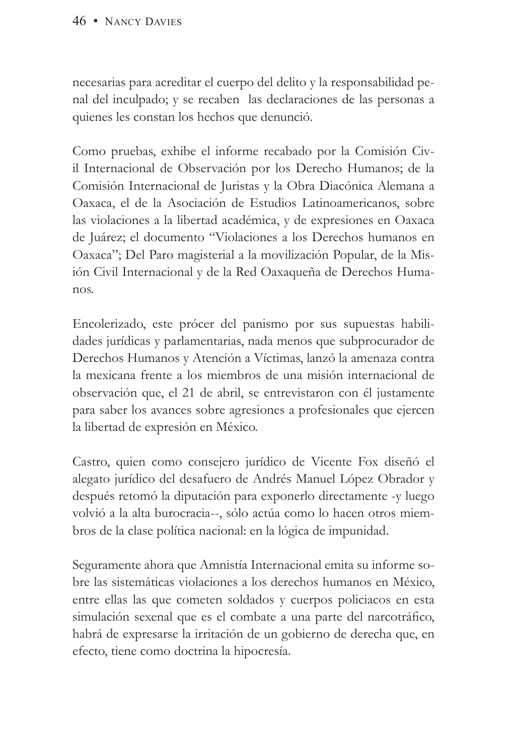necesarias para acreditar el cuerpo del delito y la responsabilidad penal del inculpado; y se recaben las declaraciones de las personas a quienes les constan los hechos que denunció.

Como pruebas, exhibe el informe recabado por la Comisión Civil Internacional de Observación por los Derecho Humanos; de la Comisión Internacional de Juristas y la Obra Diacónica Alemana a Oaxaca, el de la Asociación de Estudios Latinoamericanos, sobre las violaciones a la libertad académica, y de expresiones en Oaxaca de Juárez; el documento "Violaciones a los Derechos humanos en Oaxaca"; Del Paro magisterial a la movilización Popular, de la Misión Civil Internacional y de la Red Oaxaqueña de Derechos Humanos.

Encolerizado, este prócer del panismo por sus supuestas habilidades jurídicas y parlamentarias, nada menos que subprocurador de Derechos Humanos y Atención a Víctimas, lanzó la amenaza contra la mexicana frente a los miembros de una misión internacional de observación que, el 21 de abril, se entrevistaron con él justamente para saber los avances sobre agresiones a profesionales que ejercen la libertad de expresión en México.

Castro, quien como consejero jurídico de Vicente Fox diseñó el alegato jurídico del desafuero de Andrés Manuel López Obrador y después retomó la diputación para exponerlo directamente -y luego volvió a la alta burocracia--, sólo actúa como lo hacen otros miembros de la clase política nacional: en la lógica de impunidad.

Seguramente ahora que Amnistía Internacional emita su informe sobre las sistemáticas violaciones a los derechos humanos en México, entre ellas las que cometen soldados y cuerpos policiacos en esta simulación sexenal que es el combate a una parte del narcotráfico, habrá de expresarse la irritación de un gobierno de derecha que, en efecto, tiene como doctrina la hipocresía.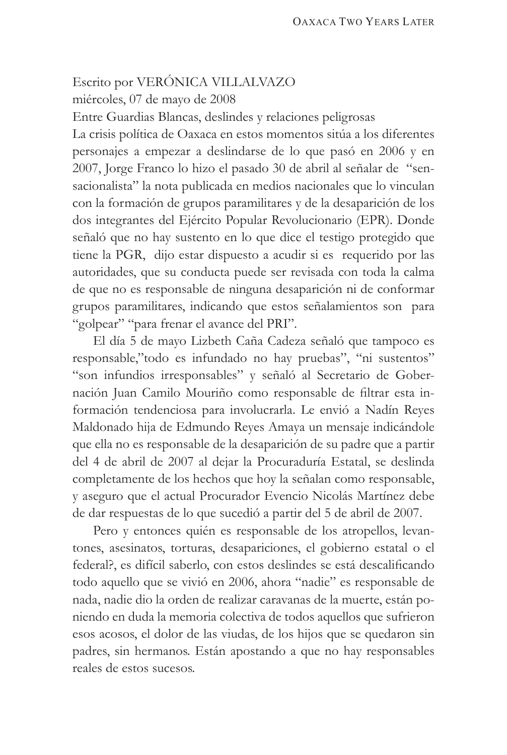### Escrito por VERÓNICA VILLALVAZO miércoles, 07 de mayo de 2008

Entre Guardias Blancas, deslindes y relaciones peligrosas

La crisis política de Oaxaca en estos momentos sitúa a los diferentes personajes a empezar a deslindarse de lo que pasó en 2006 y en 2007, Jorge Franco lo hizo el pasado 30 de abril al señalar de "sensacionalista" la nota publicada en medios nacionales que lo vinculan con la formación de grupos paramilitares y de la desaparición de los dos integrantes del Ejército Popular Revolucionario (EPR). Donde señaló que no hay sustento en lo que dice el testigo protegido que tiene la PGR, dijo estar dispuesto a acudir si es requerido por las autoridades, que su conducta puede ser revisada con toda la calma de que no es responsable de ninguna desaparición ni de conformar grupos paramilitares, indicando que estos señalamientos son para "golpear" "para frenar el avance del PRI".

El día 5 de mayo Lizbeth Caña Cadeza señaló que tampoco es responsable,"todo es infundado no hay pruebas", "ni sustentos" "son infundios irresponsables" y señaló al Secretario de Gobernación Juan Camilo Mouriño como responsable de filtrar esta información tendenciosa para involucrarla. Le envió a Nadín Reyes Maldonado hija de Edmundo Reyes Amaya un mensaje indicándole que ella no es responsable de la desaparición de su padre que a partir del 4 de abril de 2007 al dejar la Procuraduría Estatal, se deslinda completamente de los hechos que hoy la señalan como responsable, y aseguro que el actual Procurador Evencio Nicolás Martínez debe de dar respuestas de lo que sucedió a partir del 5 de abril de 2007.

Pero y entonces quién es responsable de los atropellos, levantones, asesinatos, torturas, desapariciones, el gobierno estatal o el federal?, es difícil saberlo, con estos deslindes se está descalificando todo aquello que se vivió en 2006, ahora "nadie" es responsable de nada, nadie dio la orden de realizar caravanas de la muerte, están poniendo en duda la memoria colectiva de todos aquellos que sufrieron esos acosos, el dolor de las viudas, de los hijos que se quedaron sin padres, sin hermanos. Están apostando a que no hay responsables reales de estos sucesos.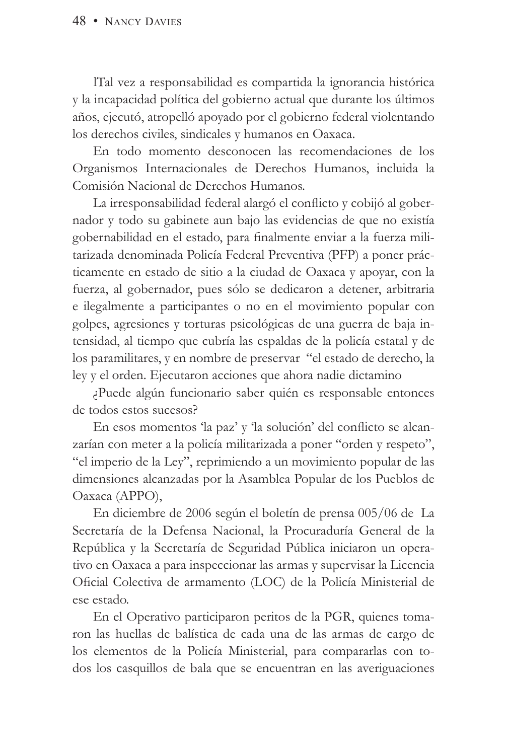lTal vez a responsabilidad es compartida la ignorancia histórica y la incapacidad política del gobierno actual que durante los últimos años, ejecutó, atropelló apoyado por el gobierno federal violentando los derechos civiles, sindicales y humanos en Oaxaca.

En todo momento desconocen las recomendaciones de los Organismos Internacionales de Derechos Humanos, incluida la Comisión Nacional de Derechos Humanos.

La irresponsabilidad federal alargó el conflicto y cobijó al gobernador y todo su gabinete aun bajo las evidencias de que no existía gobernabilidad en el estado, para finalmente enviar a la fuerza militarizada denominada Policía Federal Preventiva (PFP) a poner prácticamente en estado de sitio a la ciudad de Oaxaca y apoyar, con la fuerza, al gobernador, pues sólo se dedicaron a detener, arbitraria e ilegalmente a participantes o no en el movimiento popular con golpes, agresiones y torturas psicológicas de una guerra de baja intensidad, al tiempo que cubría las espaldas de la policía estatal y de los paramilitares, y en nombre de preservar "el estado de derecho, la ley y el orden. Ejecutaron acciones que ahora nadie dictamino

¿Puede algún funcionario saber quién es responsable entonces de todos estos sucesos?

En esos momentos 'la paz' y 'la solución' del conflicto se alcanzarían con meter a la policía militarizada a poner "orden y respeto", "el imperio de la Ley", reprimiendo a un movimiento popular de las dimensiones alcanzadas por la Asamblea Popular de los Pueblos de Oaxaca (APPO),

En diciembre de 2006 según el boletín de prensa 005/06 de La Secretaría de la Defensa Nacional, la Procuraduría General de la República y la Secretaría de Seguridad Pública iniciaron un operativo en Oaxaca a para inspeccionar las armas y supervisar la Licencia Oficial Colectiva de armamento (LOC) de la Policía Ministerial de ese estado.

En el Operativo participaron peritos de la PGR, quienes tomaron las huellas de balística de cada una de las armas de cargo de los elementos de la Policía Ministerial, para compararlas con todos los casquillos de bala que se encuentran en las averiguaciones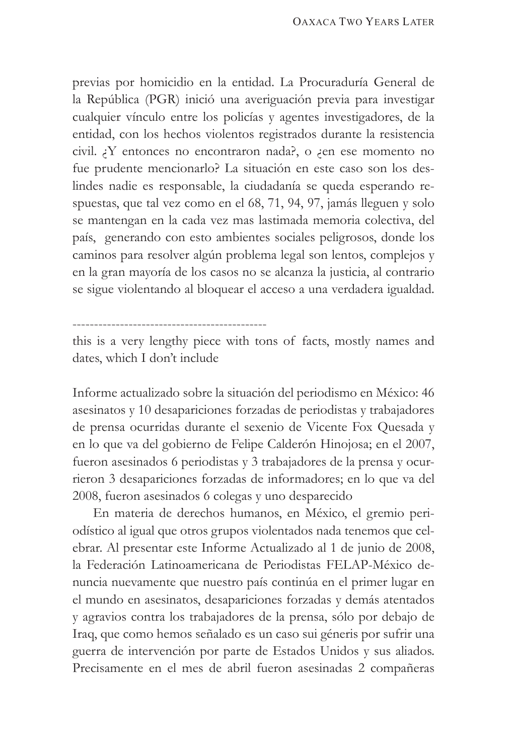previas por homicidio en la entidad. La Procuraduría General de la República (PGR) inició una averiguación previa para investigar cualquier vínculo entre los policías y agentes investigadores, de la entidad, con los hechos violentos registrados durante la resistencia civil. ¿Y entonces no encontraron nada?, o ¿en ese momento no fue prudente mencionarlo? La situación en este caso son los deslindes nadie es responsable, la ciudadanía se queda esperando respuestas, que tal vez como en el 68, 71, 94, 97, jamás lleguen y solo se mantengan en la cada vez mas lastimada memoria colectiva, del país, generando con esto ambientes sociales peligrosos, donde los caminos para resolver algún problema legal son lentos, complejos y en la gran mayoría de los casos no se alcanza la justicia, al contrario se sigue violentando al bloquear el acceso a una verdadera igualdad.

---------------------------------------------

this is a very lengthy piece with tons of facts, mostly names and dates, which I don't include

Informe actualizado sobre la situación del periodismo en México: 46 asesinatos y 10 desapariciones forzadas de periodistas y trabajadores de prensa ocurridas durante el sexenio de Vicente Fox Quesada y en lo que va del gobierno de Felipe Calderón Hinojosa; en el 2007, fueron asesinados 6 periodistas y 3 trabajadores de la prensa y ocurrieron 3 desapariciones forzadas de informadores; en lo que va del 2008, fueron asesinados 6 colegas y uno desparecido

En materia de derechos humanos, en México, el gremio periodístico al igual que otros grupos violentados nada tenemos que celebrar. Al presentar este Informe Actualizado al 1 de junio de 2008, la Federación Latinoamericana de Periodistas FELAP-México denuncia nuevamente que nuestro país continúa en el primer lugar en el mundo en asesinatos, desapariciones forzadas y demás atentados y agravios contra los trabajadores de la prensa, sólo por debajo de Iraq, que como hemos señalado es un caso sui géneris por sufrir una guerra de intervención por parte de Estados Unidos y sus aliados. Precisamente en el mes de abril fueron asesinadas 2 compañeras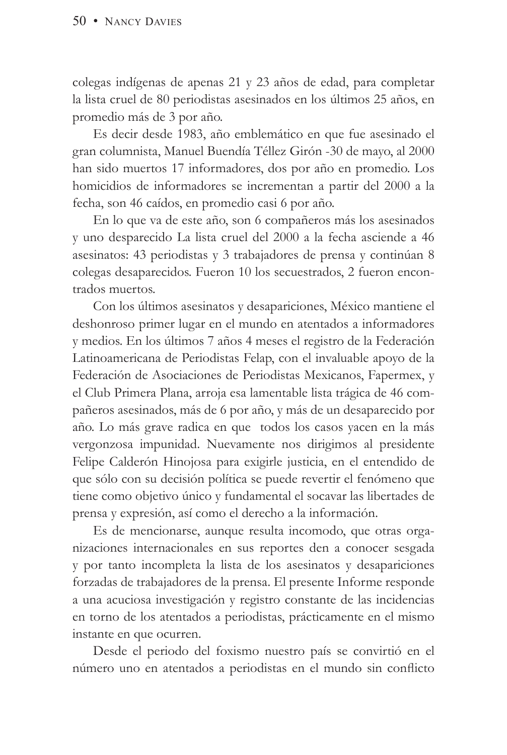colegas indígenas de apenas 21 y 23 años de edad, para completar la lista cruel de 80 periodistas asesinados en los últimos 25 años, en promedio más de 3 por año.

Es decir desde 1983, año emblemático en que fue asesinado el gran columnista, Manuel Buendía Téllez Girón -30 de mayo, al 2000 han sido muertos 17 informadores, dos por año en promedio. Los homicidios de informadores se incrementan a partir del 2000 a la fecha, son 46 caídos, en promedio casi 6 por año.

En lo que va de este año, son 6 compañeros más los asesinados y uno desparecido La lista cruel del 2000 a la fecha asciende a 46 asesinatos: 43 periodistas y 3 trabajadores de prensa y continúan 8 colegas desaparecidos. Fueron 10 los secuestrados, 2 fueron encontrados muertos.

Con los últimos asesinatos y desapariciones, México mantiene el deshonroso primer lugar en el mundo en atentados a informadores y medios. En los últimos 7 años 4 meses el registro de la Federación Latinoamericana de Periodistas Felap, con el invaluable apoyo de la Federación de Asociaciones de Periodistas Mexicanos, Fapermex, y el Club Primera Plana, arroja esa lamentable lista trágica de 46 compañeros asesinados, más de 6 por año, y más de un desaparecido por año. Lo más grave radica en que todos los casos yacen en la más vergonzosa impunidad. Nuevamente nos dirigimos al presidente Felipe Calderón Hinojosa para exigirle justicia, en el entendido de que sólo con su decisión política se puede revertir el fenómeno que tiene como objetivo único y fundamental el socavar las libertades de prensa y expresión, así como el derecho a la información.

Es de mencionarse, aunque resulta incomodo, que otras organizaciones internacionales en sus reportes den a conocer sesgada y por tanto incompleta la lista de los asesinatos y desapariciones forzadas de trabajadores de la prensa. El presente Informe responde a una acuciosa investigación y registro constante de las incidencias en torno de los atentados a periodistas, prácticamente en el mismo instante en que ocurren.

Desde el periodo del foxismo nuestro país se convirtió en el número uno en atentados a periodistas en el mundo sin conflicto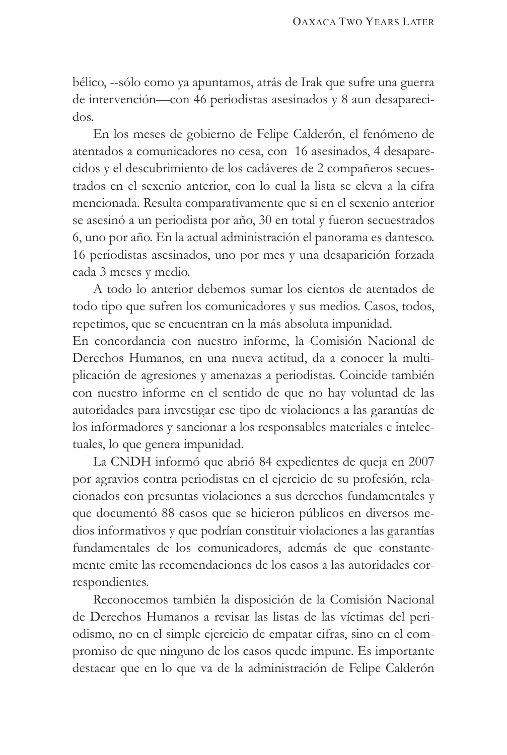bélico, --sólo como ya apuntamos, atrás de Irak que sufre una guerra de intervención—con 46 periodistas asesinados y 8 aun desaparecidos.

En los meses de gobierno de Felipe Calderón, el fenómeno de atentados a comunicadores no cesa, con 16 asesinados, 4 desaparecidos y el descubrimiento de los cadáveres de 2 compañeros secuestrados en el sexenio anterior, con lo cual la lista se eleva a la cifra mencionada. Resulta comparativamente que si en el sexenio anterior se asesinó a un periodista por año, 30 en total y fueron secuestrados 6, uno por año. En la actual administración el panorama es dantesco. 16 periodistas asesinados, uno por mes y una desaparición forzada cada 3 meses y medio.

A todo lo anterior debemos sumar los cientos de atentados de todo tipo que sufren los comunicadores y sus medios. Casos, todos, repetimos, que se encuentran en la más absoluta impunidad.

En concordancia con nuestro informe, la Comisión Nacional de Derechos Humanos, en una nueva actitud, da a conocer la multiplicación de agresiones y amenazas a periodistas. Coincide también con nuestro informe en el sentido de que no hay voluntad de las autoridades para investigar ese tipo de violaciones a las garantías de los informadores y sancionar a los responsables materiales e intelectuales, lo que genera impunidad.

La CNDH informó que abrió 84 expedientes de queja en 2007 por agravios contra periodistas en el ejercicio de su profesión, relacionados con presuntas violaciones a sus derechos fundamentales y que documentó 88 casos que se hicieron públicos en diversos medios informativos y que podrían constituir violaciones a las garantías fundamentales de los comunicadores, además de que constantemente emite las recomendaciones de los casos a las autoridades correspondientes.

Reconocemos también la disposición de la Comisión Nacional de Derechos Humanos a revisar las listas de las víctimas del periodismo, no en el simple ejercicio de empatar cifras, sino en el compromiso de que ninguno de los casos quede impune. Es importante destacar que en lo que va de la administración de Felipe Calderón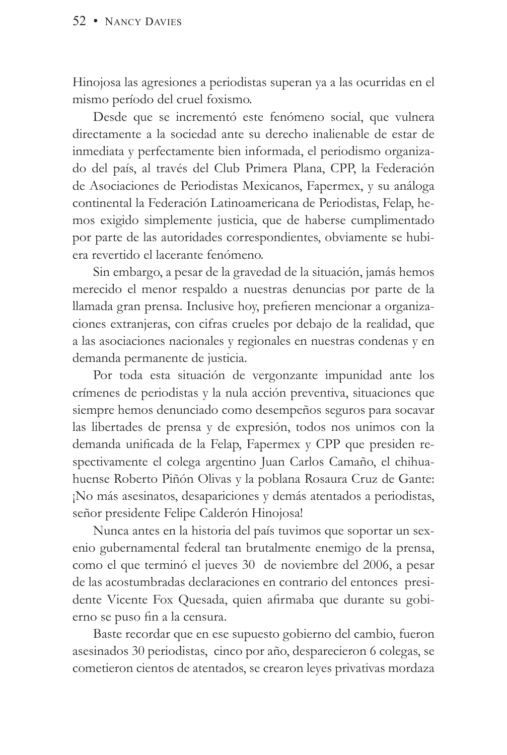#### 52 • NANCY DAVIES

Hinojosa las agresiones a periodistas superan ya a las ocurridas en el mismo período del cruel foxismo.

Desde que se incrementó este fenómeno social, que vulnera directamente a la sociedad ante su derecho inalienable de estar de inmediata y perfectamente bien informada, el periodismo organizado del país, al través del Club Primera Plana, CPP, la Federación de Asociaciones de Periodistas Mexicanos, Fapermex, y su análoga continental la Federación Latinoamericana de Periodistas, Felap, hemos exigido simplemente justicia, que de haberse cumplimentado por parte de las autoridades correspondientes, obviamente se hubiera revertido el lacerante fenómeno.

Sin embargo, a pesar de la gravedad de la situación, jamás hemos merecido el menor respaldo a nuestras denuncias por parte de la llamada gran prensa. Inclusive hoy, prefieren mencionar a organizaciones extranjeras, con cifras crueles por debajo de la realidad, que a las asociaciones nacionales y regionales en nuestras condenas y en demanda permanente de justicia.

Por toda esta situación de vergonzante impunidad ante los crímenes de periodistas y la nula acción preventiva, situaciones que siempre hemos denunciado como desempeños seguros para socavar las libertades de prensa y de expresión, todos nos unimos con la demanda unificada de la Felap, Fapermex y CPP que presiden respectivamente el colega argentino Juan Carlos Camaño, el chihuahuense Roberto Piñón Olivas y la poblana Rosaura Cruz de Gante: ¡No más asesinatos, desapariciones y demás atentados a periodistas, señor presidente Felipe Calderón Hinojosa!

Nunca antes en la historia del país tuvimos que soportar un sexenio gubernamental federal tan brutalmente enemigo de la prensa, como el que terminó el jueves 30 de noviembre del 2006, a pesar de las acostumbradas declaraciones en contrario del entonces presidente Vicente Fox Quesada, quien afirmaba que durante su gobierno se puso fin a la censura.

Baste recordar que en ese supuesto gobierno del cambio, fueron asesinados 30 periodistas, cinco por año, desparecieron 6 colegas, se cometieron cientos de atentados, se crearon leyes privativas mordaza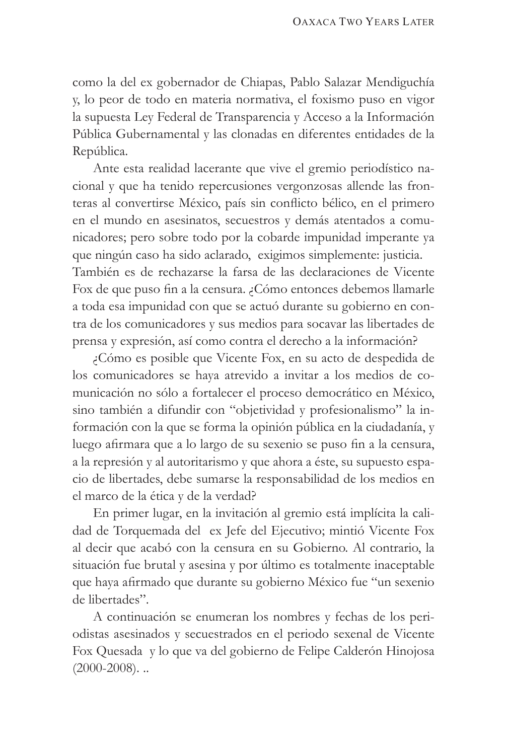como la del ex gobernador de Chiapas, Pablo Salazar Mendiguchía y, lo peor de todo en materia normativa, el foxismo puso en vigor la supuesta Ley Federal de Transparencia y Acceso a la Información Pública Gubernamental y las clonadas en diferentes entidades de la República.

Ante esta realidad lacerante que vive el gremio periodístico nacional y que ha tenido repercusiones vergonzosas allende las fronteras al convertirse México, país sin conflicto bélico, en el primero en el mundo en asesinatos, secuestros y demás atentados a comunicadores; pero sobre todo por la cobarde impunidad imperante ya que ningún caso ha sido aclarado, exigimos simplemente: justicia. También es de rechazarse la farsa de las declaraciones de Vicente Fox de que puso fin a la censura. ¿Cómo entonces debemos llamarle a toda esa impunidad con que se actuó durante su gobierno en contra de los comunicadores y sus medios para socavar las libertades de prensa y expresión, así como contra el derecho a la información?

¿Cómo es posible que Vicente Fox, en su acto de despedida de los comunicadores se haya atrevido a invitar a los medios de comunicación no sólo a fortalecer el proceso democrático en México, sino también a difundir con "objetividad y profesionalismo" la información con la que se forma la opinión pública en la ciudadanía, y luego afirmara que a lo largo de su sexenio se puso fin a la censura, a la represión y al autoritarismo y que ahora a éste, su supuesto espacio de libertades, debe sumarse la responsabilidad de los medios en el marco de la ética y de la verdad?

En primer lugar, en la invitación al gremio está implícita la calidad de Torquemada del ex Jefe del Ejecutivo; mintió Vicente Fox al decir que acabó con la censura en su Gobierno. Al contrario, la situación fue brutal y asesina y por último es totalmente inaceptable que haya afirmado que durante su gobierno México fue "un sexenio de libertades".

A continuación se enumeran los nombres y fechas de los periodistas asesinados y secuestrados en el periodo sexenal de Vicente Fox Quesada y lo que va del gobierno de Felipe Calderón Hinojosa  $(2000 - 2008)$ ...